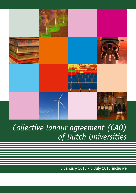

# *Collective labour agreement (CAO) of Dutch Universities*

1 January 2015 - 1 July 2016 inclusive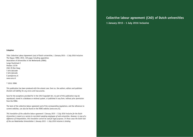#### **Colophon**

Title: Collective Labour Agreement (cao) of Dutch universities, 1 January 2015 – 1 July 2016 inclusive The Hague: VSNU, 2015, 120 pages including appendices Association of Universities in the Netherlands (VSNU) Lange Houtstraat 2 Postbus 13739 2501 ES Den Haag T 070 3021400 F 070 3021495 E post@vsnu.nl www.vsnu.nl

#### © 2015: VSNU

This publication has been produced with the utmost care. Even so, the authors, editors and publisher disclaim all liability for any errors and inaccuracies.

Save for the exceptions provided for in the 1912 Copyright Act, no part of this publication may be reproduced, stored in a database or retrieval system, or published in any form, without prior permission from the VSNU.

The texts of the collective labour agreement and of the corresponding regulations, and the references to current websites, can also be found on the VSNU website (www.vsnu.nl).

*This translation of the collective labour agreement 1 January 2015 - 1 July 2016 inclusive for the Dutch Universities is meant as a service to non-Dutch speaking employees of said universities. However, in case of a difference of interpretation, this translation cannot be used for legal purposes. In those cases the Dutch text of the cao Nederlandse Universiteiten 1 January 2015 - 1 July 2016 inclusive is binding.*

**Collective labour agreement (CAO) of Dutch universities 1 January 2015 - 1 July 2016 inclusive**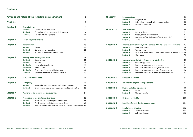## **Contents**

|                  |                          | Parties to and nature of the collective labour agreement       | $\overline{7}$ |
|------------------|--------------------------|----------------------------------------------------------------|----------------|
| <b>Preamble</b>  |                          |                                                                | 8              |
| Chapter 1        | <b>General clauses</b>   |                                                                | 9              |
|                  | <b>Section 1</b>         | Definitions and obligations                                    | 10             |
|                  | <b>Section 2</b>         | Obligations of the employer and the employee                   | 14             |
|                  | <b>Section 3</b>         | Patent right and copyright                                     | 16             |
| <b>Chapter 2</b> | The employment contract  |                                                                | 18             |
| Chapter 3        | <b>Remuneration</b>      |                                                                | 25             |
|                  | Section 1                | General                                                        | 26             |
|                  | <b>Section 2</b>         | Bonuses and compensation                                       | 30             |
|                  | <b>Section 3</b>         | Allowances for unusual working hours                           | 31             |
| Chapter 4        |                          | Working hours, holidays and leave                              | 34             |
|                  | <b>Section 1</b>         | Working hours                                                  | 35             |
|                  | <b>Section 2</b>         | Holidays                                                       | 36             |
|                  | <b>Section 3a</b>        | Leave other than holidays                                      | 38             |
|                  | <b>Section 3b</b>        | Parental leave                                                 | 40             |
|                  | <b>Section 3c</b>        | Other leave, including sabbatical leave                        | 42             |
|                  | Section 4                | Senior Staff Scheme Transitional Provision                     | 43             |
| <b>Chapter 5</b> | Individual choices model |                                                                | 44             |
| Chapter 6        | <b>Staff policy</b>      |                                                                | 48             |
|                  | Section 1                | The employment contract and staff policy instruments           | 49             |
|                  | <b>Section 2</b>         | Disciplinary measures and suspension in public universities    | 52             |
| <b>Chapter 7</b> |                          | Pensions, social security and social services                  | 54             |
| <b>Chapter 8</b> |                          | Termination of the employment contract                         | 57             |
|                  | Section 1                | Provisions that apply to public universities                   | 58             |
|                  | <b>Section 2</b>         | Provisions that apply to special universities                  | 62             |
|                  | <b>Section 3</b>         | Termination of the employment contract - special circumstances | 63             |
|                  |                          |                                                                |                |

| <b>Chapter 9</b>  | <b>Reorganisations</b>        |                                                                       | 64  |
|-------------------|-------------------------------|-----------------------------------------------------------------------|-----|
|                   | Section 1                     | Reorganisation                                                        | 65  |
|                   | <b>Section 2</b>              | Social policy framework within reorganisations                        | 66  |
|                   | <b>Section 3</b>              | Assessment committee                                                  | 69  |
| Chapter 10        | <b>Final provisions</b>       |                                                                       | 70  |
|                   | Section 1                     | Student assistants                                                    | 71  |
|                   | <b>Section 2</b>              | Medical/clinical academic staff                                       | 71  |
|                   | <b>Section 3</b>              | Legal status of the University of Amsterdam (UvA)                     | 72  |
|                   | <b>Section 4</b>              | General                                                               | 73  |
| <b>Appendix A</b> |                               | Financial terms of employment 1 January 2015 to 1 July 2016 inclusive | 74  |
|                   | Section 1                     | Salary development                                                    | 75  |
|                   | <b>Section 2</b>              | Year-end bonus                                                        | 75  |
|                   | <b>Section 3</b>              | Percentages and amounts of employees' insurances and pensions         | 75  |
|                   | <b>Section 4</b>              | Salary tables                                                         | 76  |
| <b>Appendix B</b> |                               | Former schemes, including former senior staff policy                  | 80  |
|                   | <b>Section 1-6</b>            | No longer applicable                                                  | 81  |
|                   | <b>Section 7</b>              | Transitional arrangement for allowances                               | 81  |
|                   | <b>Section 8</b>              | Transitional arrangement for age-related hours                        | 82  |
|                   | <b>Section 9</b>              | Transitional arrangement for the life-course scheme                   | 83  |
|                   | Section 10                    | Transitional arrangement for the senior staff scheme                  | 84  |
| <b>Appendix C</b> | <b>Consultation Protocol</b>  |                                                                       | 86  |
| <b>Appendix D</b> |                               | Facilities for employees' organisations                               | 91  |
| <b>Appendix E</b> |                               | <b>Studies and other agreements</b>                                   | 93  |
|                   | Section 1                     | <b>Studies</b>                                                        | 94  |
|                   | <b>Section 2</b>              | Other agreements                                                      | 96  |
| <b>Appendix F</b> | No longer applicable          |                                                                       | 100 |
| <b>Appendix G</b> |                               | Possible effects of flexible working hours                            | 101 |
| <b>Appendix H</b> | <b>Regulation on disputes</b> |                                                                       | 103 |
|                   | <b>Section 1</b>              | Collective disputes                                                   | 104 |
|                   | <b>Section 2</b>              | Individual disputes                                                   | 105 |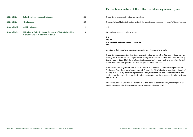## **Parties to and nature of the collective labour agreement (cao)**

| Appendix I | <b>Collective labour agreement followers</b>                                                              | 106 |
|------------|-----------------------------------------------------------------------------------------------------------|-----|
| Appendix J | <b>Miscellaneous</b>                                                                                      | 108 |
| Appendix K | <b>Mobility allowance</b>                                                                                 | 110 |
| Appendix L | Addendum to Collective Labour Agreement of Dutch Universities,<br>1 January 2015 to 1 July 2016 inclusive | 112 |

The parties to this collective labour agreement are:

The Association of Dutch Universities, acting in its capacity as an association on behalf of the universities

and

the employee organisations listed below:

**FNV AC/FBZ CNV Overheid, onderdeel van CNV Connectief CMHF**

all acting in their capacity as associations exercising the full legal rights of staff.

The parties hereby declare that they signed a collective labour agreement on 9 January 2015. As such, they have agreed to a collective labour agreement on employment conditions effective from 1 January 2015 up to and including 1 July 2016, the text (including the appendices) of which reads as given below. The text of this collective labour agreement has been changed last on 30 June 2015.

The collective labour agreement (cao) of Dutch Universities is intended to implement the provisions in Section 4.5 of the Higher Education and Academic Research Act (WHW), insofar as agreed at the branch of industry level and it lays down the regulations on employment conditions for all Dutch universities, and applies to special universities as a collective labour agreement within the meaning of the Collective Labour Agreement Act.

This collective labour agreement is a standard collective labour agreement explicitly indicating when and to which extent additional interpretations may be given at institutional level.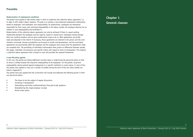## **Preamble**

### **Modernisation of employment conditions**

The parties have agreed to take further steps in 2015 to modernise the collective labour agreement, i.e. to align it with modern labour relations. The goal is to achieve a more balanced employment relationship, based on employers' and employees' own responsibility. As professionals, employees are themselves responsible for their career and continued employability in the labour market; the employer likewise has an interest in such employability and facilitates it.

Modernisation of the collective labour agreement can only be achieved if there is a good working relationship between the employee and the superior, based on mutual trust. Employees should manage their own working situation and are given professional scope to do so. Work agreements are jointly made and adjusted in the interim if necessary; these agreements are tailored to the person and the work situation concerned. Annual consultations are focused on results and development, and the associated agreements are documented. Both the employer and the employee must ensure that the agreements made are complied with. The possibility of individual customisation does justice to differences between people, life stages, individual circumstances and specific wishes with regard to terms of employment. This requires a collective labour agreement that is based on trust and provides the required frameworks.

#### **A new HR policy agenda**

In this cao, the parties are taking additional concrete steps in modernising the personnel policy so that its focus is shifted towards the long-term employability of all employees. For the parties, long-term employability clearly extends beyond employment in a specific institution or sector alone. In view of this, the parties have agreed to carry out a number of studies during the term of the cao; these studies are listed in Appendix E.

The parties have also agreed that the universities will include and elaborate the following points in their own personnel policy:

- The future to be the subject of regular discussions
- Investing in development
- Intensifying and further professionalising 'from-job-to-job' guidance
- Strengthening the single employer concept
- Active career policy

**Chapter 1 General clauses**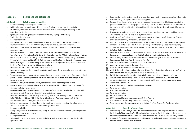## **Section 1 Definitions and obligations**

## **Article 1.1 Definitions and abbreviations**

- a. Universities: the public and special universities;
- b. Public university: the public universities in Leiden, Groningen, Amsterdam, Utrecht, Delft, Wageningen, Eindhoven, Enschede, Rotterdam and Maastricht, and the Open University of the Netherlands in Heerlen;
- c. Special university: the special universities in Amsterdam, Nijmegen and Tilburg;
- d. Institution: the university;
- e. No longer applicable;
- f. Foundation: the Catholic University of Brabant Foundation in Tilburg, the Catholic University Foundation in Nijmegen or the VU University Amsterdam Medical Center in Amsterdam;
- g. Employees' organisations: the employee organisations that are a party to this collective labour agreement (cao);
- h. Employer: the Board of Governors and, with regard to the special universities, the Executive Committee of the Foundation; the VU University Amsterdam and the VU University Amsterdam Medical Center are part of the VU University Amsterdam Medical Center Foundation legal entity. The Radboud University in Nijmegen and the UMC St Radboud form part of the Catholic University Foundation legal entity. With regard to the applicability of this collective labour agreement (cao) on an institutional level, the Free University and the RUN are the employer;
- i. Employee: the person who is employed by an institution;
- j. Employment contract: either an appointment at a public university or an employment contract with a special university;
- k. Temporary employment contract: temporary employment contract, arranged either for a predetermined period or for an objectively definable set of circumstances, the duration of which is not precisely known in advance;
- l. Permanent employment contract: employment contract for an indefinite period of time;
- m. Notice of termination by the employee: at a public university this is taken to mean the request for dismissal made by the employee;
- n. Consultation between the employer and local employees' organisations: the local consultation with employees' organisations as laid down in the consultation protocol;
- o. Employee participation body: the body that is designated as such on the grounds of Articles 9.30, 9.31, 9.37, 9.49, 9.50 and 9.51 of the Higher Education and Academic Research Act (WHW);
- p. Full time employment: employment for 38 hours per week;
- q. Salary: the monthly amount established for the employee in question based on the salary tables in Section 4 of Appendix A to this collective labour agreement (cao);
- r. No longer applicable;
- s. Hourly salary: 1/165th part of the monthly salary in case of full time employment (excluding holiday allowance and end-of-year bonus);
- t. No longer applicable;
- u. Salary grade: a series of numbered salaries, included as such in Appendix A of this collective labour agreement (cao);
- v. Salary number: an indication, consisting of a number, which is given before a salary in a salary grade;
- Maximum salary: the highest amount in a salary grade:
- x. Remuneration: the sum of the salary and the bonuses the employee is entitled to pursuant to the provisions in Articles 3.13, paragraph 2, 3.14, 3.15, 3.18, or the bonus pursuant to the provisions in Articles 3.16, 3.25 to 3.27 unless it is established in advance that the bonus is granted for less than one year;
- y. Position: the compilation of duties to be performed by the employee pursuant to and in accordance with what he has been assigned to do by the employer:
- z. Academic staff (wp): all members of staff whose respective jobs are classified under the Education and Research job family of the job classification system;
- aa. Doctoral candidate: staff in the employment of the university whose job is classified in the doctoral candidate job profile in the Education and Research job family of the job classification system;
- bb. Support and management staff (obp): members of staff not belonging to the academic staff category, including student assistants;
- cc. Medical specialist: a doctor of medicine who, according to the register of the Specialists' Registration Commission, is recognised as a specialist in the field of medicine indicated therein;
- dd. Two-Tier Entity Scheme: the scheme under Article 9.51 of the Higher Education and Academic Research Act, Bulletin of Acts & Decrees 1997, 117;
- ee. cao: the collective labour agreement of the Dutch Universities;
- ff. WAO: Occupational Disability Insurance Act;
- gg. WHW: Higher Education and Academic Research Act;
- hh. WNU: Netherlands Universities Unemployment Scheme (formerly the Unemployment Act for Teaching and Research Staff [BWOO], as phrased on 16 December 1999);
- ii. BWNU: Unemployment Scheme of the Dutch Universities Exceeding the Statutory Minimum;
- jj. ZANU: Sickness and Disability Scheme of Dutch Universities (formerly BZAOO [Sickness and Occupational Disability Act for Teaching and Research Staff], as phrased on 16 December 1999);
- kk. ZW: Sickness Benefits Act;
- ll. WIA: Employment Work and Income (Ability to Work) Act;
- mm. No longer applicable;
- nn. WW: Unemployment Act;
- oo. No longer applicable;
- pp. BW: Dutch Civil Code;
- qq. UWV: Employed Person's Insurance Administration Agency;
- rr. SUWI: Work and Income (Implementation Structure) Act;
- ss. State pension age: the age, as referred to in Section 7a of the General Old Age Pensions Act.

## **Article 1.2 Authority of the employer**

- a. The authority of the employer under the terms of the collective labour agreement (cao) is exercised by the Board of Governors insofar this authority is not reserved for the Directors of the Association or the Directors of the Foundation under the terms of the relevant Charter or Two-Tier Entity Scheme.
- b. The Board of Governors may determine in writing that the authority it was granted under paragraph 1 shall be exercised by others on its behalf.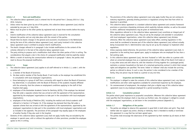## **Article 1.3 Term and modification**

- 1. The collective labour agreement (cao) is entered into for the period from 1 January 2015 to 1 July 2016, inclusive.
- 2. Unless notice has been given by one of the parties, this collective labour agreement (cao) shall be extended by one year on 2 July 2016.
- 3. Notice must be given to the other parties by registered mail at least three months before the expiry date.
- 4. Interim modification of the collective labour agreement (cao) is reserved for the consultation between the parties and can only take place with the consent of the parties.
- 5. Should there be drastic changes in the general socio-economic circumstances in the Netherlands during the term of this collective labour agreement (cao), each party involved in this collective labour agreement (cao) is entitled to propose interim modifications.
- 6. The drastic changes referred to in paragraph 5 also include modifications to the content of the schemes referred to in the text of the collective labour agreement (cao).
- 7. The party wishing to propose such a modification shall inform the other parties of this in writing. The considerations that played a role in the choice of a proposed modification shall be explicitly stated.
- 8. Within a month of receiving the communication referred to in paragraph 7 above, the parties shall meet to discuss the proposed modification.

## **Article 1.4 Scope**

- 1. The collective labour agreement (cao) applies to all staff referred to in Article 1.1, under i, with the exception of:
	- a. a member of the Board of Governors;
	- b. the dean and/or member of the Faculty Board, if and insofar as the employer has established this in consultation with local employees' organisations;
	- c. those belonging to a group of staff from a university with regard to whom the Board of Governors has determined, in consultation with the Board of Directors of the academic hospital affiliated with the university, that the scheme on employment conditions applying to the staff of that hospital shall apply;
	- d. employees of the Amsterdam Academic Centre for Dentistry (ACTA), if the employer has declared they fall under a separate scheme that was arrived at with the agreement of the representatives appointed by the employees' organisations to take part in the consultation with local employees' organisations;
	- e. employees of the Faculty of Medicine (VU), including the medical and clinical academic staff referred to in Section 2 of Chapter 10, if the employer has declared that they fall under a separate scheme that was arrived at with the agreement of the representatives, appointed by the employees' organisations to take part in the consultation with local employees' organisations and as included in the appendix. The provisions of this paragraph may equally apply to the employees of another faculty if they also work in the hospital.
- 2 Elements of this collective labour agreement (cao) shall not apply insofar they are excluded by the employer in special cases, with or without the application of other provisions, provided the employee agrees to this in writing.
- 3. The provisions of the collective labour agreement (cao) only apply insofar they are not contrary to statutory regulations, generally binding provisions or regulations arising from that from which no departure is permitted.
- 4. This collective labour agreement is a standard collective labour agreement and contains framework provisions or provisions stipulating minimums which explicitly indicate whether, as well as the extent to which, additional interpretations may be given at institutional level.

 Other regulations referred to in the collective labour agreement (cao) constitute an integral part of the collective labour agreement (cao). They are set by the employer and amended in consultation with local employees' organisations, unless this collective labour agreement (cao) dictates otherwise. When the collective labour agreement (cao) takes effect, existing regulations in this sense shall be considered to become part of the collective labour agreement (cao) without actually being incorporated into it. Administrative rules may be set up by the employer to implement other regulations.

- 5. Unless expressly stated otherwise, the provisions of the collective labour agreement (cao) shall, in proportion to the working hours agreed upon, apply to employees who are employed for less than a full working week.
- 6. In this collective labour agreement (cao), the term 'husband' or 'wife' also refers to a partner with whom an unmarried employee lives as a registered partner (Article 1:80a of the Dutch Civil Code) or in any other sense and with whom he, with the intention of living together for a prolonged period, maintains a common household on the basis of a notarised partnership contract in which their mutual rights and obligations are specified. The terms 'widow' or 'widower' shall also include the surviving partner as referred to above. In such a case, the partner is also considered to be a member of the family. Only one person may be listed as a partner at any one time.

#### **Article 1.5 Inspection and distribution**

- 1. The employer is obliged to make the contents of this collective labour agreement (cao), any interim modifications and other valid regulations available for unrestricted inspection by the employee.
- 2. On commencement of employment, the employer shall give a digital copy of this collective labour agreement (cao) to any employee employed for a period exceeding 6 months.

## **Article 1.6 Consultation protocol**

The parties attach great importance to purposeful consultation. Wherever this collective labour agreement (cao) specifies that the employer shall or may draw up (further) rules, the employer is obliged to consult with the employees' organisations, as laid down in the consultation protocol (Appendix C).

## **Article 1.7 Obligations of the parties**

- 1. The parties are obliged to observe this agreement in good faith in both letter and spirit. They shall neither take nor support any action, directly or indirectly, that is intended to modify or terminate this agreement in a way that has not been agreed upon.
- 2. The parties shall encourage the observance of this agreement by their members by all means at their disposal.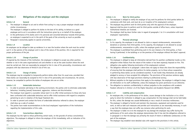## **Section 2 Obligations of the employer and the employee**

## **Article 1.8 General**

1. The employer is obliged to act and to refrain from acting in a way a proper employer should under similar circumstances.

 The employee is obliged to perform his duties to the best of his ability, to behave as a good employee and to act in accordance with the instructions given by or on behalf of the employer.

- 2. In the performance of his duties and in his personal and concerted behaviour towards third parties, an employee is expected to act in the spirit of the goals of the university as much as possible.
- 3. Paragraph 3 exclusively applies to special universities.

## **Article 1.9 Location**

An employee can be obliged to take up residence in or near the location where the work must be carried out if, in the opinion of the employer and in view of the nature of the position, this is required for the proper performance of the job.

## **Article 1.10 Change of position**

If required by the interests of the institution, the employee is obliged to accept any other position, whether or not in the same organisational unit and whether or not at the same location where the work must be carried out, that can reasonably be assigned to him in view of his personality, circumstances and prospects with due observance of Article 9.12a of this cao.

## **Article 1.11 Change of duties**

The employee may be compelled to temporarily perform duties other than his usual ones, provided that these duties can reasonably be assigned to him in view of his personality and circumstances. He cannot, however, be compelled to perform the duties of employees who are on strike.

## **Article 1.12 Undesirable behaviour**

- 1. In order to promote well being in the working environment, the parties wish to eliminate undesirable behaviour, including (sexual) harassment, aggression, violence and discrimination.
- 2. The employer must appoint a counsellor whose task it is to offer initial assistance to those who have been confronted with undesirable behaviour and to offer initial assistance with regard to complains pertaining to acts in violation of the Equal Treatment Act.
- 3. In order to prevent and combat the forms of undesirable behaviour referred to above, the employer shall draw up a code of conduct.
- 4. The parties have made recommendations to the local employees' organisations of the institutions regarding the implementation of this code.

## **Article 1.13 Conscientious objections**

The employee has the right to refuse performing certain tasks, on the grounds of serious conscientious objections. The employee is obliged to inform the employer of this immediately, with an indication of his objections.

## **Article 1.14 Work for third parties**

- 1. The employee is obliged to notify the employer of any work he performs for third parties before he commences with that work, and must do so on inception of his employment contract.
- 2. The employee may perform work for third parties only with the approval of the employer.
- 3. Approval shall be given to perform work for third parties outside of office hours, unless important institutional interests are involved.
- 4. The employer shall lay down further rules in regard of paragraphs 1 to 3 in consultation with local employees' organisations.

### **Article 1.15 Personal advantage**

- 1. In his capacity, the employee is not allowed to claim or request reimbursements, remuneration, donations or promises from third parties. In his capacity, the employee is not allowed to accept reimbursements, remuneration or gifts, unless the employer grants its permission.
- 2. The employee is prohibited from performing work in his own interest or for third parties, or from having it performed, in the buildings or on the premises of the employer without the latter's approval.

### **Article 1.16 Confidentiality**

- 1. The employee is obliged to keep all information derived from his position confidential insofar as this obligation either follows from the nature of the matter or has been expressly imposed on him. This obligation also applies following termination of the employment contract.
- 2. The obligation referred to in paragraph 1 above does not apply to those who share the responsibility of ensuring that the employee shall perform his duties properly, nor to those whose cooperation in performing these duties can be considered essential, if and insofar they themselves are already pledged to secrecy or have accepted this obligation. The provisions of the previous sentence apply with due observance of the legal provisions relating to professional secrecy.
- 3. Without prejudice to the legal provisions that apply to the employer, the employer is obliged to keep all information on its staff confidential, unless the employee has given permission to act otherwise.
- 4. The obligation to maintain confidentiality is without prejudice to the compliance with academic freedom referred to in Article 1.6 of the Higher Education and Academic Research Act (WHW).

#### **Article 1.17 Liability and compensation**

- 1. An employee who, in the performance of his duties, causes damage to the institution or to a third party to whom the institution is obliged to pay compensation for that damage shall not be held liable for this, unless the damage was caused deliberately or was a result of conscious recklessness.
- 2. The employer is obliged to furnish and maintain the classrooms, equipment and materials used for work, as well as take such measures and provide such instructions as are reasonably necessary, in such a way that the employee does not suffer any nuisance when performing his work.
- 3. The employer is liable vis-à-vis the employee for any damage the employee may suffer during the performance of his work unless the employer demonstrates that it has met the obligations referred to in paragraph 2 or that the damage was primarily the result of intent or deliberate carelessness on the part of the employee.
- 4. The employer may establish more detailed rules with regard to the provisions in this article.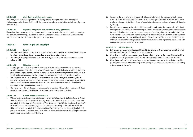## **Article 1.18 Work clothing, distinguishing marks**

The employer can make it obligatory for the employee to wear the prescribed work clothing and distinguishing marks. In consultation with the competent employee participation body, the employer may lay down rules.

## **Article 1.19 Employees' obligations pursuant to third-party agreements**

If rules have been set up pertaining to agreements between the university and third parties, an employee who participates in the implementation of such an agreement is obliged to behave in accordance with both the rules and the substance of the agreement in question.

## **Section 3 Patent right and copyright**

## **Article 1.20 General**

- 1. The employee is obliged to comply with provisions reasonably laid down by the employer with regard to patent right and copyright, with due observance of the legal provisions.
- 2. The employer may impose more detailed rules with regard to the provisions referred to in Articles 1.21 and 1.22.

## **Article 1.21 Obligation to report**

- 1. An employee who, during or otherwise coinciding with the performance of his duties, creates a possibly patentable invention or, by means of plant selection work, isolates a new variety for which plant breeder's rights may be obtained, is obliged to report this in writing to the employer and must submit sufficient data to enable the employer to assess the nature of the invention or variety.
- 2. The obligation referred to in paragraph 1 arises the moment the employee is reasonably able to conclude that there is a question of such an invention or such a variety. In any event, the employee shall be considered to have been able to reach such a conclusion the moment the invention is completed or the variety has been isolated.
- 3. The provisions in this article apply by analogy as far as possible if the employee creates work that is protected by copyright, if and insofar the employer has not determined otherwise.

## **Article 1.22 Transfer and retention of rights**

1. Without prejudice to the provisions in Article 12 of the State Patents Act, Bulletin of Acts & Decrees 1995, 51, Article 31 of the Seeds and Planting Materials Act, Bulletin of Acts & Decrees 1966, 455 and Article 7 of the Copyright Act, Bulletin of Acts & Decrees 1912, 308, the employee, if and insofar he is entitled to other than moral rights to the invention, the variety or the work, for which the obligation to report in Article 1.21 exists, shall transfer these rights to the employer in whole or in part if so requested, in order to enable it to make use of them in the context of fulfilling its statutory duties within a term to be established later.

- 2. As soon as the term referred to in paragraph 1 has expired without the employer actually having made use of the rights that were transferred to it, the employee is entitled to reclaim them. If the employee subsequently decides in favour of exploitation, the second sentence of paragraph 3 applies by analogy.
- 3. Except in cases contrary to the substantial interests of the university, the employee is entitled not to comply with the request as referred to in paragraph 1. In that case, the employer may decide that the costs it has invested are at the employee's expense, including salary, the costs of the facilities made available to the employee, insofar as they are directly related to the creation of the rights the employee now wishes to keep for himself, plus the interest accrued. The term 'substantial interests of the university' shall be interpreted to include interests arising from agreements entered into with third parties by or on behalf of the employer.

## **Article 1.23 Reimbursements**

- 1. In the event the employer makes use of the rights transferred to it, the employee is entitled to fair reimbursement. Article 1.4 paragraph 5 is not applicable.
- 2. When determining this compensation, consideration shall be given to the financial interests of the employer in the assigned rights and to the circumstances under which the result was achieved.
- 3. When rights are transferred, the employee is eligible for reimbursement of the costs borne by him personally which costs are demonstrably linked directly to the invention, the isolation of the variety or the creation of the work.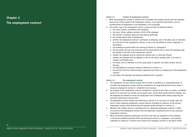## **Chapter 2 The employment contract**

## **Article 2.1 Content of employment contract**

- 1. When the employment contract is entered into or amended, the employer ensures that the employee receives two written copies of the employment contract, to be signed by both parties, prior to commencement of employment or the amendment, if at all possible.
- 2. This written copy of the employment contract contains at least the following details:
	- a. the name, location and address of the employer;
	- b. the name, initials, address and date of birth of the employee;
	- c. the location or locations where the work shall be performed;
	- d. the commencement date of employment;
	- e. whether the employment contract is permanent or temporary, and in the latter case an indication as to the term of the employment contract, as well as the possibility of interim resignation or termination;
	- f. any probationary period within the meaning of Article 2.2, paragraph 2;
	- g. the job profile, job level and actual job and the organisational unit to which the employee shall be assigned at the start of the employment contract;
	- h. whether the employee shall be working all working hours, or what part thereof;
	- i. whether the employee shall be obliged to work on-call and/or standby shifts, or to work at irregular and flexible hours;
	- j. the salary, with an indication as to the salary grade in question, the salary number, and any bonuses;
	- k. the applicability of a pension scheme as referred to in Article 7.1;
	- l. the provision that this collective labour agreement (cao) forms an integral part of the employment contract;
	- m. any matters the employer and employee explicitly wish to regulate.

#### **Article 2.2 The employment contract**

- 1. The employment contract shall be entered into for either a specified or an unspecified period. In principle, the employment contract shall be concluded for an unspecified period of time, unless a temporary employment contract is considered to be necessary.
- 2. On inception of the employment contract concluded for a period of more than six months, a probation period of no more than two months can be agreed upon, during which period both the employer and the employee are entitled to cancel the employment with immediate effect without observing the provisions pertaining to giving notice.
- 3. An employment contract entered into following an interval of no more than six months after the end of a prior temporary employment contract shall be considered an extension of the previous employment contract when determining the maximum period referred to in article 2.3.
- 4. Whenever this chapter refers to a maximum term of a temporary employment contract, it refers to the term of the employment contract from the beginning, including the term of any successive employment contracts.
- 5. When terminating temporary employment contracts other than by resignation of the employee or during the probationary period within the meaning of Article 2.2, paragraph 2, the employer undertakes to endeavour a transfer and to improve the employee's position in the labour market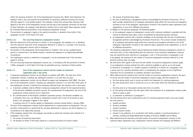within the meaning of Section 72a of the Unemployment Insurance Act. Within that framework, the employer shall in any case examine the possibilities for retraining, additional training and courses, with due regard of a cost benefit analysis. The employer's choice from among these measures shall depend on the term of the employment contract and the age of the employee concerned. On the basis of these indicators, the employer shall determine whether and to what extent these measures should be continued following termination of the temporary employment contract.

6. The provisions in paragraph 2 apply to the special universities, in deviation from Article 7:652, paragraphs 4a and 5 of the Dutch Civil Code.

### **Article 2.2a Non-recurring temporary employment contract**

- 1. With due observance of the provisions in article 2.2, first paragraph, the employer can, in deviation from the maximum total term of the employment referred to in article 2.3, conclude a non-recurring temporary employment contract with an employee.
- 2. The duration of the employment will be determined on inception. This can be a predetermined period or a period that is not defined exactly in advance but depends on an objectively definable circumstance.
- 3. The employment contract as referred to in paragraph 1 can be terminated early if this has been agreed in writing.
- 4. This non-recurring temporary employment contract can, in accordance with the provisions of Article 7:668a, paragraph 3, of the Dutch Civil Code, be extended once by a maximum of three months.

## **Article 2.3 Term of the employment contract and the number of extensions (applicable until 1 July 2016)**

- 1. A temporary employment contract can be offered to academic staff (WP). The total term of the employment contract, including any subsequent contracts, is no more than six years.
- 2. A temporary employment contract can be offered to support and management staff (OBP). The total term of the employment contract, including any subsequent contracts, is no more than three years. If the employment contract is financed from temporary external funds, the maximum term is four years.
- 3. a. A doctoral candidate shall be offered a temporary employment contract for the expected duration of the doctoral candidate's promotion process. On commencement of employment, the term of the employment contract shall be set to a fixed term.
	- b. On commencement of the doctoral candidate's promotion process, the doctoral candidate can, in deviation from sub a, be offered an employment contract with a term of 18 months at most. Article 3.10, paragraph 3 applies in this regard.
		- A maximum term of 12 months applies to employment contracts started before 1 January 2008.
- 4. The term of the employment contract shall be determined on commencement of employment. This can be either a fixed period or a period that has not been determined in advance, but which depends on a circumstance to be objectively assessed.
- 5. If the employee requests this, the employer may decide to extend the maximum term referred to in paragraphs 1 and 2 with:
	- a. the amount of maternity leave taken;
	- b. the duration of illness if the illness lasted for a consecutive period of at least 8 weeks;
- c. the amount of parental leave taken;
- d. the term of performing a management position acknowledged by the Board of Governors. This at least includes membership of an employee participation body within the university and managerial activities at one of the employees' organisations involved in the collective labour agreement (cao) negotiations, or one of its affiliated associations.
- 6. In addition to the previous paragraph, the following applies:
	- a. at the employee's request an employment contract with a doctoral candidate is extended with the amount of maternity leave taken, unless contradicted by substantial business interests;
	- b. an employment contract with a doctoral candidate can be extended with the term of performing a management position acknowledged by the Board of Governors. This at least includes membership of an employee participation body within the university and managerial activities at one of the employees' organisations involved in the collective labour agreement (cao) negotiations, or one of its affiliated associations.
- 7. The temporary employment contract may be followed by another temporary employment contract no more than twice, on the understanding that the total term of the successive employment contracts may not exceed the terms referred to in paragraphs 1 and 2. If the provisions in paragraphs 5 and 6 are applied, the maximum for the number of successive employment contracts referred to in the previous sentence does not apply.
- 8. No restrictions with regard to the term the and number of successive employment contracts apply to an employment contract entered into with a doctoral candidate as well as an on-call worker as referred to in paragraph 12, a student assistant as referred to in Article 10.1, paragraph 2 and a person who has a position elsewhere which is considered by the employer to be of significant importance for his contribution to academic education and research.
- 9. When determining the maximum term and the number of successive employment contracts, the years of service and the number of successive employment contracts apply, with the exception of:
	- a. the time during which work is carried out within the framework of a training programme;
	- b. the time during which work is carried out as an on-call worker within the meaning of paragraph  $12:$
	- c. the time prior to an interruption lasting more than six months;
	- d. for the special universities: the time spent within the framework of an employment contract under which no salary is paid;
	- e. an extension as referred to in paragraph 5.
- 10. The time during which work is performed as part of a training programme shall in any case include the time spent as:
	- a. student assistant;
	- b. doctoral candidate;
	- c. research assistant;
	- d. trainee research worker;
	- e. trainee in any profession or in connection with further academic or practical education or training, including the Royal Netherlands Academy of Sciences (KNAW) and EU fellows.
- 11. When determining the total term and total number of successive employment contracts in this collective labour agreement (cao), employment contracts between the employee and different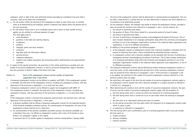employers, which in light of the work performed should reasonably be considered to be each other's successor, shall not be taken into consideration.

- 12. a. On-call workers within the meaning of this paragraph are taken to mean those who, at variable times to be determined by the employer, perform incidental work falling within the general task of the unit concerned.
	- b. On-call workers whose work is of an incidental nature and to whom no fixed number of hours applies are not entitled to continued payment of wages. This shall apply only to:
		- ward attendants:
		- positions in the hotel and catering industry;
		- invigilators;
		- pollsters;
		- language, sports and music teachers:
		- correctors;
		- help desk staff and information officers:
		- personal drivers:
		- cloakroom attendants;
		- students (not student assistants) who exclusively perform administrative and organisational activities.
- 13. In respect of the special universities, the provisions in this article pertaining to possible term and number of successive employment contracts, as well as successive employership, apply in deviation from the provisions of Article 7:668a of the Dutch Civil Code.

## **Article 2.3 Term of the employment contract and the number of extensions (applicable from 1 July 2016)**

- 1. A temporary employment contract can be offered to academic staff (WP). If this employment contract is extended, the total term of the employment contract, including any subsequent contracts, with due observance of the provisions in Appendix L, is no more than four years.
- 2. A temporary employment contract can be offered to support and management staff (OBP). If this employment contract is extended, the total term of the employment contract, including any subsequent contracts, with due observance of the provisions in Appendix L, is no more than three years.

 If the employment contract is financed from temporary external funds, the maximum term, with due observance of the provisions in Appendix L, is four years.

3. a. A doctoral candidate shall be offered a temporary employment contract for the expected duration of the doctoral candidate's promotion process. On commencement of employment, the term of the employment contract shall be set to a fixed term.

b. On commencement of the doctoral candidate's promotion process, the doctoral candidate can, in deviation from sub a, be offered an employment contract with a term of 18 months at most. Article 3.10, paragraph 3 applies in this regard.

A maximum term of 12 months applies to employment contracts started before 1 January 2008.

- 4. The term of the employment contract shall be determined on commencement of employment. This can be either a fixed period or a period that has not been determined in advance, but which depends on a circumstance to be objectively assessed.
- 5. On the employee's request, the employer may decide to extend the employment contract, provided it does not exceed the maximum term referred to in paragraphs 1 and 2, second sentence, by:
	- a. the amount of maternity leave taken;
	- b. the duration of illness if the illness lasted for a consecutive period of at least 8 weeks;
	- c. the amount of parental leave taken;
	- d. the term of performing a management position acknowledged by the Board of Governors. This at least includes membership of an employee participation body within the university and managerial activities at one of the employees' organisations involved in the collective labour agreement (cao) negotiations, or one of its affiliated associations.
- 6. In addition to the previous paragraph, the following applies:
	- a. at the employee's request an employment contract with a doctoral candidate is extended with the amount of maternity leave taken, unless contradicted by substantial business interests;
	- b. an employment contract with a doctoral candidate can be extended with the term of performing a management position acknowledged by the Board of Governors. This at least includes membership of an employee participation body within the university and managerial activities at one of the employees' organisations involved in the collective labour agreement (cao) negotiations, or one of its affiliated associations.
- 7. The temporary employment contract may be followed by another temporary employment contract no more than twice, on the understanding that the total term of the successive employment contracts may not exceed the terms referred to in paragraphs 1 and 2. If the provisions in paragraphs 5 and 6 are applied, the maximum for the number of successive employment contracts referred to in the previous sentence does not apply.
- 8. No restrictions with regard to the term the and number of successive employment contracts apply to an employment contract entered into with a doctoral candidate or a student assistant as referred to in Article 10.1, paragraph 2.
- 9. When determining the maximum term and the number of successive employment contracts, the years of service and the number of successive employment contracts apply, with the exception of:
	- a. the time during which work is carried out within the framework of a training programme;
	- b. the time during which work is carried out as an on-call worker within the meaning of paragraph 12;
	- c. the time prior to an interruption lasting more than six months;
	- d. for the special universities: the time spent within the framework of an employment contract under which no salary is paid;
	- e. an extension as referred to in paragraph 5.
- 10. The time during which work is performed as part of a training programme shall in any case include the time spent as:
	- a. student assistant;
	- b. doctoral candidate;
	- c. research assistant;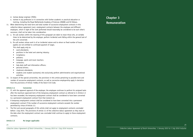- d. trainee design engineer (TOIO);
- e. trainee in any profession or in connection with further academic or practical education or training, including the Royal Netherlands Academy of Sciences (KNAW) and EU fellows.
- 11. When determining the total term and total number of successive employment contracts in this collective labour agreement (cao), employment contracts between the employee and different employers, which in light of the work performed should reasonably be considered to be each other's successor, shall not be taken into consideration.
- 12. a. On-call workers within the meaning of this paragraph are taken to mean those who, at variable times to be determined by the employer, perform incidental work falling within the general task of the unit concerned.
	- b. On-call workers whose work is of an incidental nature and to whom no fixed number of hours applies are not entitled to continued payment of wages. This shall apply only to:
		- ward attendants:
		- positions in the hotel and catering industry;
		- invigilators;
		- pollsters;
		- language, sports and music teachers;
		- correctors;
		- help desk staff and information officers:
		- personal drivers:
		- cloakroom attendants:
		- students (not student assistants) who exclusively perform administrative and organisational activities.
- 13. In respect of the special universities, the provisions in this article pertaining to possible term and number of successive employment contracts, as well as successive employership apply in deviation from the provisions of Article 7:668a of the Dutch Civil Code.

## **Article 2.4 Conversion**

- 1. If, with the apparent approval of the employer, the employee continues to perform his assigned tasks after the maximum approved term of the temporary employment contract as referred to in Article 2.3 has been exceeded, the temporary employment contract shall be considered to have been converted to a permanent employment contract from that moment on.
- 2. A temporary employment contract shall be considered to have been converted into a permanent employment contract if the number of successive employment contracts exceeds the number permitted by virtue of Article 2.3.
- 3. The first and second paragraphs of this article shall not apply to employment contracts concluded before 1 July 2015. The provisions of article 2.3 of the collective labour agreement as they read on the date when the employment contract was concluded shall continue to apply to those employment contracts.

## **Article 2.5 No longer applicable**

*24*



## **Chapter 3 Remuneration**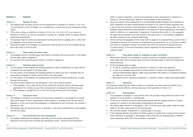## **Section 1 General**

## **Article 3.1 Payment of salary**

- 1. The employer pays the salary, bonuses and the compensation as referred to in Articles 3.13 to 3.16, 3.18 and Sections 3 and 4 of Chapter 3 on a monthly basis, no later than the last working day of that month.
- 2. If the salary, a bonus as referred to in Articles 3.13 to 3.16, 3.18, 3.25, 3.27, or an amount as referred to in Article 3.12, must be calculated on a portion of a calendar month, the amount shall be determined proportionally.
- 3. The employee shall not receive any remuneration for the period that he culpably and in conflict with his obligations, fails to perform his duties.
- 4. Following the death of an employee, his remuneration shall be paid out up to and including the last day of the month in which he died.

## **Article 3.2 Salary grades and salary review**

- 1. The employee receives a monthly salary, determined in accordance with the provisions in this Chapter and the salary tables in Appendix A.
- 2. An overview of the structural salary increases is included in Appendix A.

### **Article 3.3 Individual salary increases**

- 1. If in the opinion of the employer the employee performs his duties satisfactorily, his salary shall be increased to the next amount in the salary grade.
- 2. If in the opinion of the employer the employee performs his duties very well or extremely well, his salary may be increased to a higher amount listed in the salary grade.
- 3. If in the opinion of the employer the employee does not perform his duties satisfactorily, no salary increase shall be given.
- 4. The salary increases referred to in the paragraphs 1 and 2 above shall be granted:
	- a. if the employee is 22 or older and has not yet reached the maximum salary in the salary grade applicable to him, initially one year after commencement of employment and then every year.
	- b. if the employee is younger than 22, as from the first day of the month of his birthday.

## **Article 3.4 End-of-year bonus**

- 1. The employee is entitled to a structural end-of-year bonus expressed as a percentage of his annual salary (with respect to which a guaranteed minimum applies) in accordance with the provisions of Appendix A. In the case of part time employment or employment for part of the year, the minimum is adjusted pro rata.
- 2. The employer pays the end-of-year bonus in December; in the event of dismissal this is paid together with the final salary.

## **Article 3.5 Pay classification and career development**

1. The employer determines the employee's job profile, job level and the salary grade with due observance of the rules of the university job classification system, "University Job Classification" (UFO), as stated in Appendix J, and the rules pertaining to career development as referred to in Article 6.5. The Job Classification Objections Scheme applies to the classification.

- 2. Upon the inception of the employment of an occupationally disabled employee with a disability on which agreements have been reached between the parties to the collective labour agreement with a view to the entry into force of the Participation Act (Bulletin of Acts and Decrees 2014, 271), the employee shall be granted the salary specified in the sequence of salaries applicable to him stated in table 4.3 (100%) or 4.4, respectively, in Appendix A. In deviation from article 3.3, first paragraph, the salary will be increased to the next amount in the salary scale if, in the employer's judgement, the labour productivity has increased substantially.
- 3. The first and second paragraphs of this article shall not apply to an employee filling a position that is subsidised on the basis of a promotion of employment by the government, nor to a trainee or student with whom an employment contract was entered into within the framework of day-time training or similar training. In the cases listed above, specific regulations for the remuneration of these categories apply.

#### **Article 3.6 Salary grade change for employees at public universities**

- 1. Without prior dismissal of an employee at a public university, an employee cannot be placed in a salary grade with a lower maximum salary than that of the salary grade in which the employee was placed previously.
- 2. The first paragraph does not apply:
	- a. in case of a disciplinary measure as referred to in Article 6.12 other than dismissal;
	- b. in case of an employee being placed in another position if, based on the Employed Person's Insurance Administration Agency's (UWV) claim assessment with respect to occupational disability, the wage loss is less than 35%;
	- c. following the end of a temporary assignment in a position to which a higher salary grade applies.

## **Article 3.7 Deputising**

If an employee temporarily fills another position as a substitute, the salary scale that applied to him previously shall remain effective, with due observance of the provisions in Article 3.15.

## **Article 3.8 Starting grades**

- 1. If an employee is employed in a new position and is not yet able to fully perform the duties of this position, he can be placed in a starting grade.
- 2. As soon as an evaluation during the grading period proves that the employee performs his duties properly, he is placed in the salary grade corresponding to the position.
- 3. The starting grade referred to in paragraphs 1 and 2 is the first lower salary grade, except for salary grade 10, for which salary grade 8 is the starting grade.
- 4. The maximum duration of placement in a starting grade is two years.
- 5. If the employee still does not perform his duties properly six months prior to expiry of the maximum period referred to in paragraph 4, the employer shall consult with the employee about a different career perspective, either within the institution or elsewhere.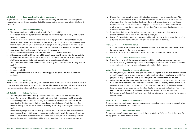## **Article 3.9 Departures from the rules in special cases**

In special cases - for tax-related reasons - the employer, following consultation with local employees' organisations, may lay down a regulation that either supplements or deviates from Articles 3.1, 3.3 and 3.5 to 3.8.

## **Article 3.10 Doctoral candidate salary**

- 1. The doctoral candidate is subject to salary grades P0, P1, P2 and P3.
- 2. On inception of the employment contract, the doctoral candidate is placed in salary grade P0 for a period of 12 months.
- 3. At the end of the period of 12 months referred to in paragraph 2, the doctoral candidate will be placed in salary grade P1, also if the first employment contract of the doctoral candidate runs longer than 12 months. In derogation of Article 3.3, paragraph 3, the salary increase is not linked to the performance assessment. The salary increase does not, therefore, constitute an opinion about the doctoral candidate's performance in the first year of employment.
- 4. Each subsequent salary increase shall take place only after an annual assessment.
- 5. If the doctoral candidate still has not had his annual assessment 15 months after the last periodic salary increase and when this cannot be attributed to the person involved, the next salary increase shall take effect automatically while upholding the original incremental date.
- 6. The final salary of the doctoral candidate is set to salary grade P3, which is equal to salary scale 10, grade 2.
- 7. No longer applicable.
- 8. No longer applicable.
- 9. Starting grades as referred to in Article 3.8 do not apply to the grade placement of a doctoral candidate.

## **Article 3.11 Taxability**

If and as soon as any prevailing (tax-free) compensation, bonus or allowance becomes taxable in whole or in part as a result of changes in tax legislation, the (taxable) portion in question shall be interpreted as a gross payment, unless determined otherwise by general regulations applicable to the university.

## **Article 3.12 Holiday allowance**

- 1. The employee is entitled to a holiday allowance amounting to 8% of his total remuneration.
- 2. For employees who are 22 or older, the holiday allowance shall be at least a monthly amount (as included in Appendix A, tables 4.2 and 4.6) to be determined by the parties concerned, on the understanding that this amount shall be reduced proportionally in case of part-time work. The minimum holiday allowance will be adjusted according to the salary increase agreed between the parties.
- 3. For employees younger than 22, the holiday allowance shall be at least the amount referred to in paragraph 2, reduced by 10% for every year or portion of a year by which the employee is younger than 22. The maximum reduction in this connection shall be 50%, on the understanding that the amount the employee is entitled to shall be reduced proportionally in the event of part-time work.
- 4. If an employee receives only a portion of his total remuneration on the grounds of Article 7.2, he shall be considered to be receiving his total remuneration for the purposes of the application of paragraph 1, on the understanding that the employee shall be considered to be receiving no remuneration, as far as the application of paragraph 1 is concerned, if the actual remuneration received has been reduced to the amount of that portion of the pension contribution that can be claimed from the employee.
- 5. The employer shall pay out the holiday allowance once a year over the period of twelve months starting with the month of June in the preceding calendar year.
- 6. In case of dismissal of the employee, payment shall be made over the period between the end of the last period for which holiday allowance was paid out and the date of dismissal.

## **Article 3.13 Performance bonus**

- 1. If, in the opinion of the employer, an employee performs his duties very well or excellently, he may be granted a bonus for the period of one year.
- 2. In special circumstances, the employer may decide to grant the bonus for a longer period.

## **Article 3.14 Labour market-related bonus**

- 1. The employer may grant the employee a bonus for mobility, recruitment or retention reasons.
- 2. This bonus shall be granted for a period that is agreed upon in advance. After the period referred to above has lapsed, the employer may again grant a bonus in a similar manner.

## **Article 3.15 Bonus for temporary substitution**

- 1. An employee who, by order of the employer, temporarily fills a position as a substitute in whole or in part, which would lead to a salary grade with a higher maximum salary on application of Article 3.5 paragraph 1, may be granted a bonus by the employer for the duration of that substitution.
- 2. Unless there are special circumstances, the bonus shall be granted only if the substitution has lasted for at least 30 calendar days. The bonus shall be calculated from the first day of the substitution. In the event of total substitution, the amount of the bonus shall be equal to the difference between the present salary of the employee and the salary that he would receive if he had been placed in the salary grade with the higher maximum salary as from the day that the substitution started. In the event of partial substitution, the employer shall grant the bonus in proportion to the extent of the substitution.

## **Article 3.16 Bonuses for other reasons**

In special cases, the employer may grant an employee or a group of employees a bonus on grounds other than those indicated in Articles 3.13 to 3.15.

## **Article 3.17 Withdrawal of a bonus**

The employer may withdraw a bonus granted on the basis of Articles 3.13, 3.14 or 3.16 if the reason for having granted the bonus no longer exists.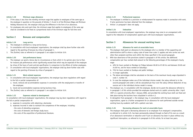### **Article 3.18 Minimum wage allowance**

- 1. If the salary is less than the monthly minimum wage that applies to employees of the same age as the employee in question on the grounds of Articles 7, 8 and 14 of the Minimum Wage and Minimum Holiday Allowance Act, the employer shall pay the difference in the form of an allowance.
- 2. For employees who work part-time, the minimum wage that applies to employees of the same age shall be considered to be fixed at a proportional share of the minimum wage for full-time work.

## **Section 2 Bonuses and compensation**

### **Article 3.19 Long service**

- 1. The employee is entitled to a long-service bonus.
- 2. In consultation with local employees' organisations, the employer shall lay down further rules with regard to the granting of bonuses by virtue of paragraph 1.
- 3. The (further) rules as referred to in paragraph 2 are subject to Article 10.9.

### **Article 3.20 Job performance bonus**

- 1. The employer can grant a bonus due to circumstances or facts which in its opinion give rise to that, for instance job performances which significantly exceed that which may be expected of the employee by virtue of the hours of work and job specification in comparison to the efforts of similar employees.
- 2. In consultation with local employees' organisations, the employer shall lay down further rules with regard to the granting of bonuses by virtue of paragraph 1.

#### **Article 3.21 Work-related expenses**

- 1. In consultation with local employees' organisations, the employer lays down regulations with regard to the full or partial compensation of:
	- a. travel, removal and accommodation expenses in connection with the employment or transfer of the employee;
	- b. travel and accommodation expenses during business trips.
- 2. The (further) rules as referred to in paragraph 1 are subject to Article 10.9.

## **Article 3.22 Expenses related to development**

In consultation with local employees' organisations, the employer may lay down regulations with regard to the full or partial compensation of:

- a. expenses in connection with obtaining a doctorate;
- b. expenses incurred in order to maintain the competence of the employee, including:
	- the costs of attending congresses;
	- the costs of domestic and foreign study tours;
	- the costs of the acquisition of professional literature.

## **Article 3.23 Professional expenses**

- 1. The employee is entitled to a provision or reimbursement for expenses made in connection with work, if prior permission has been obtained from the employer.
- 2. Article 1.4 paragraph 5 does not apply.

## **Artikel 3.24 Indexation**

In consultation with local employees' organisations, the employer may come to an arrangement with regard to the indexation of compensation agreed upon with local employees' organisations.

## **Section 3 Allowances for unusual working hours**

#### **Article 3.25 Allowance for work at unsociable hours**

- 1. The employer shall grant an allowance to the employee who is a member of the supporting and administrative staff to whom a salary scale of lower than scale 11 applies and who carries out work other than assigned overtime work within the times specified in the second paragraph.
- 2. With due observance of the provisions stated in paragraph 4 of this article, the additional compensation per hour worked shall amount to the following percentages of the employee's hourly wage:
	- a. 40% for hours worked on Mondays to Fridays between 00.00 to 07.00 hrs and between 20.00 and 24.00 hrs, and for hours worked on Saturdays;
	- b. 75% for hours worked on Sundays and public holidays;
	- c. no longer applicable.
- 3. a. The above percentages shall be calculated on the basis of the maximum hourly wage stipulated in scale 7, number 10.
	- b. In case the employee makes use of the individual choices model, the salary referred to in the second paragraph and under a will be calculated per hour over the salary without deduction of any sources set in the individual choices model in money.
- 4. The employer can, in consultation with the employee, decide not to grant the allowance referred to in paragraph 1 of this article provided the employee started work at a public university after 1 April 1997 or a special university after 1 January 2006, and provided the working hours both are fixed and take place during the business hours stipulated in article 4.3.
- 5. In derogation from paragraph 1, the employer may, in consultation with the local employees' organisations, agree to a further arrangement for an allowance for work performed outside normal working hours by academic staff with a patient care task.

## **Article 3.26 Decreasing allowance for work at unsociable hours**

1. The employer shall grant a decreasing allowance to an employee if an employee's compensation, as referred to in article 3.25, has been permanently reduced through no fault of his own as a result of an allowance's termination or reduction and if such an allowance has been in place without any significant interruption, as referred to in paragraph 6 of this article, for at least two years.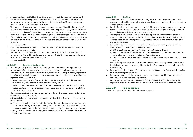- 2. An employee shall be entitled to a decreasing allowance for a period of not more than one-fourth the number of months during which an allowance was in place, to a maximum of 36 months. The decreasing allowance shall be paid out in three periods of not more than 12 months and amount to 75%, 50% and 25% of the allowance, respectively.
- 3. The employer shall grant a permanent allowance to an employee aged 55 or older if the employee's compensation as referred to in article 3.25 has been permanently reduced through no fault of his own as a result of an allowance's termination or reduction and if such an allowance has been in place for a minimum of 15 years without any significant interruption as referred to in paragraph 6 of this article.
- 4. If the employer grants an employee a new allowance, as referred to in Article 3.25, while a decreasing allowance is still in effect, the amount of the new allowance shall be subtracted from the decreasing allowance.
- 5. No longer applicable.
- 6. A significant interruption is understood to mean absence from the job other than sick leave for a period of longer than two months.
- 7. The employer can, in accordance with his own rules, grant an allowance to a particular group of employees aged 55 and older who have suffered a permanent reduction in pay because of the loss of an allowance under the meaning of Article 3.25.
- 8. No longer applicable.

## **Article 3.27 On-call and standby shifts**

- 1. The employer shall grant an allowance to an employee who is a member of the supporting and management staff and to whom a salary scale of lower than scale 11 applies, and who must, in accordance with the employer's written instruction, remain on-call on a regular or fairly regular basis to perform work as required outside the working hours applicable to him/her under the working hours regulation referred to in article 4.2.
- 2. a. The allowance shall be 10% of the applicable hourly wage for every full hour the employee remains on-call, subject to the maximum permitted for pay scale 3.
	- b. In case the employee makes use of the individual choices model, the salary referred to under a. will be calculated per hour over the salary including any monetary sources chosen individually in the individual choices model.
- 3. The allowance calculated on the basis of paragraph 2 of this article shall be increased by 25% of the salary per hour for a standby shift.
- 4. If the work to be performed is urgent the provisions in article 3.28 shall apply, with due observance of the following:
	- a. in the event of work on an on-call shift, the overtime shall start the moment the employee leaves his home outside the grounds of the university and end as soon as he has returned home, it shall be rounded up to the nearest half hour and a minimum of 2 hours' overtime shall be compensated;
	- b. every period of overtime that an employee on standby is called upon to work shall be rounded up to the nearest half hour.

## **Article 3.28 Overtime**

- 1. The employer shall grant an allowance to an employee who is a member of the supporting and management staff and to whom a salary scale of lower than scale 11 applies, and who works overtime at the employer's instruction.
- 2. Overtime is understood to mean: work performed outside the working hours applying to the employee, insofar as this means that the employee exceeds the number of working hours applying to him/her per period of work, with the period of work being one week.
- 3. The compensation for overtime shall consist of leave equal to the duration of the overtime. In addition, the employer shall grant additional leave based on the provisions of paragraph four. If the work does not allow the granting of leave and/or additional leave in time, financial compensation shall be awarded instead.
- 4. Such additional leave or financial compensation shall consist of a percentage of the duration of overtime based on the employee's hourly wage, being:
	- a. 25% for overtime worked between 7am and 6pm from Mondays to Fridays;
	- b. 50% for overtime worked between 6pm and 7am the following morning from Mondays to Fridays and overtime worked between midnight and 4pm on Saturdays;
	- c. 100% for overtime worked after 4pm on Saturdays and any overtime worked on Sundays and public holidays.

 In case the employee makes use of the individual choices model, the salary referred to under a will be calculated per hour over the salary without deduction of any sources set in the individual choices model in money.

- 5. No compensation shall be granted for overtime of less than 30 minutes performed immediately after the close of the regular working day.
- 6. No overtime compensation shall be granted to groups of employees specified by the employer in consultation with local employees' organisations.
- 7. Upon request, an employee shall be exempted from working overtime if, in the opinion of the employer, there are special circumstances preventing him/her from performing additional work.

## **Article 3.29 No longer applicable**

The text of this article has been moved to Appendix B, Article B.13.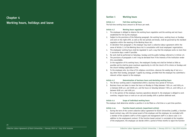## **Chapter 4 Working hours, holidays and leave**

## **Section 1 Working hours**

## **Article 4.1 Full-time working hours**

The full-time working hours amount to 38 hours per week.

#### **Article 4.2 Working hours regulation**

- 1. The employee is obliged to observe the working hours regulation and the working and rest hours established for him by the employer.
- 2. Subject to the provisions of the following paragraph, the working hours, working hours on Sundays and work on the night-shift, as well as the rest periods and breaks, shall be governed by the standard regulation within the meaning of the Working Hours Act.
- 3. In deviation from paragraph 2, the employer may reach a collective labour agreement within the sense of Article 1.3 of the Working Hours Act in consultation with local employees' organisations.
- 4. The employees' working hours shall be regulated in such a way that the employee works no more than 5 successive days a week if possible.
- 5. No work shall be performed on Saturdays, Sundays and the public holidays referred to in Article 4.9.
- 6. The provisions of paragraphs 4 and 5 may be deviated from if the interests of the institution render this unavoidable.
- 7. In the regulation of his working hours, the employee's Sunday rest shall be limited as little as possible and he shall be given maximum opportunity to visit the church of his choice on Sundays and the church holidays applicable to him.
- 8. To the employee who, by virtue of his religious convictions, observes the weekly day of rest on a day other than Sunday, paragraph 7 applies by analogy, provided that the employee has submitted a relevant written request to the employer.

#### **Article 4.3 Determination of business hours and deviating working hours**

- 1. The 38-hour working week is implemented within a business hour period of 78 hours.
- 2. Business hours are taken to mean the hours on Monday to Friday between 7:00 a.m. and 9:00 p.m. or between 8:00 a.m. and 10:00 p.m. and the hours on Saturday between 7:00 a.m. and 3:00 p.m. or between 8:00 a.m. and 4:00 p.m.
- 3. If, in the opinion of the employer, business operations demand it, the employee is obliged to work overtime, irregular hours or work an on-call and standby shift or perform deferred work.

#### **Article 4.4 Scope of individual working hours**

The employer shall determine whether a position is to be filled as a full-time or a part-time position.

## **Article 4.4a Function based contracts (experiment article)**

1. During the term of the current collective labour agreement for Dutch Universities (caoNU), a function based contract may, with the mutual assent of the employer and the employee, be concluded with a member of the academic staff or of the support and management staff in or above scale 11 in addition to the employment contract. If the function based contract is concluded at the inception of the employment, the employee can decide within a period of three months to reject the function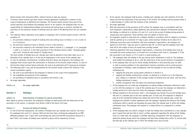based contract with retroactive effect, without having to state any reasons.

- 2. A function based contract lays down results oriented agreements established in relation to the scope of employment as defined by the employer. The function based contract forms part of the annual interview cycle between the employee and his or her superior. The employee bears his own responsibility for implementing holidays and working and resting hours in practice, provided the provisions on the maximum number of working hours per week in the Working Hours Act are complied with.
- 3. The collective labour agreement (cao) applies to employees with a function based contract, with the exception of:
	- a. the provisions relating to length of working time and working hours in Articles 4.1 to 4.3 and 4.6 to 4.9 inclusive;
	- b. the provisions relating to leave in Articles 4.13a to 4.19a inclusive;
	- c. the provisions relating to the individual choices model in Articles 5.1, paragraph 1, 5.4, paragraph 1 under a, 5.5 and 5.6. In the other provisions of the individual choices model, "mutually agreed extra work" should be read instead of "holiday hours".

 The total number of holiday hours per calendar year shall be deemed to have been taken up on 31 December of the calendar year or at the end of employment in the course of the calendar year.

- 4. In case of unforeseen circumstances, including long term illness and pregnancy, the employer and employee shall consult about the continuation or otherwise of the function based contract. In case of the function based contract being continued, the work to be performed will if necessary be reviewed.
- 5. The following shall in any case be documented for the function based contract (for instance in the annual consultation report):
	- a. the work to be performed by the employee in relation to the scope of the employment;
	- b. the availability and presence of the employee;
	- c. the possibility of sabbatical leave in accordance with Article 4.16a.
- 6. No longer applicable.

**Article 4.5 No longer applicable**

**Section 2 Holidays**

## **Article 4.6 Determination of holidays for special universities**

With regard to special universities, the employee's holidays are determined with due observance of the provisions in this section, in deviation from Article 7:638 of the Dutch Civil Code.

## **Article 4.7 Accrual and taking of holidays**

1. In case of full-time employment, the number of holiday hours per calendar year shall be: 232 hours. For employees born prior to 1 January 1950 and who have been continuously employed by an ABPaffiliated employer since 1 April 1997 (and thereby fall under the VUT/FPU transitional measure of 1 April 1997), the number of holiday hours referred to above will be reduced by 16 hours.

- 2. At his request, the employee shall be given a holiday each calendar year with retention of his full salary and with due observance of the provisions in this Article. The holiday shall be granted unless it is demonstrably in conflict with the interests of the institution.
- 3. No longer applicable.
- 4. With due observance of the provisions of this article, the employer may, in consultation with the local employees' organisations, adopt additional rules pertaining to payment of allowances during the holiday, as referred to in Articles 3.25 and 3.27, and to the accrual of holiday during periods of unpaid leave and suspension. These (further) rules are subject to Article 10.9.
- 5. An employee's request to take leave for a religious holiday in accordance with his religious convictions shall be granted up to a maximum of 5 days a year, unless business interests do not allow for it.
- 6. Following concurrence and consultation with local employees' organisations, the employer can appoint no more than 7 days per year as collective days off, on which day the employee must take time off for the number of hours he would have normally worked.
- 7. Following agreement from local employees' organisations, a maximum of 56 holiday hours may be converted into extra working hours, to be paid out in accordance with rticle 5.7 paragraph 2, if the job concerned is not shared, or if it is a job in a small working unit.
- 8. a. The employee takes the holiday in the year during which entitlement is built up. The employer shall enable the employee to do so, with due observance of the second sentence of paragraph 2.
	- b. If the employee does not use his entire holiday entitlement in that particular year, he shall, in order to prevent problems in the organisation's business operations and to avoid excessive accumulation of holidays, make arrangements with the employer on how to take the holiday entitlement by:
		- applying the long-term saving option referred to in Article 5.5;
		- applying the flexible working hours scheme, as referred to in Article 5.6, in the following year, subject to a reduction of the average number of working hours per week, until the extra holiday entitlement is taken;
		- another arrangement that will reduce the remaining entitlement.
	- c. If the employee has not made any arrangements on taking holiday entitlement (referred to under a or b) with the employer on 1 July of the calendar year of accrual, the employer can determine a holiday period of no more than four times the employee's weekly working hours.
	- d. Without prejudice to the provisions under c, the employee may transfer any accrued holiday hours left over in a calendar year to the next calendar year. In that case, the employee is obliged to take all of the transferred holiday hours before the end of that next calendar year, unless the employee has reached a written agreement with the employer regarding the taking of the holiday entitlement within a period not exceeding five years after the calendar year in which the holiday entitlement arose. The employer will respond in a timely fashion to a proposal for a written agreement.
	- e. If the employee does not submit a request to take the holiday hours transferred to a next calendar year in good time and also fails to reach a written agreement regarding the taking of the holiday hours at a later time, the employer is entitled, following consultations with the employee, to determine periods during which the employee will take these holiday hours within 12 months after the final day of the calendar year in which the holiday hours were accrued.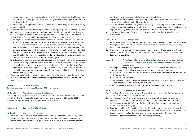- f. Holiday hours become void 12 months after the final day of the calendar year in which they were accrued, unless the employee has reached a written agreement with the employer pursuant to the provisions under d.
- g. The outcome of the agreements under b, c, d and e shall be approved by the employer in writing.
- 9. No longer applicable.
- 10. In consultation with local employees' organisations, the employer may decide to continue the policy of the employee or groups of employees having their additional leave as a result of a reduction in working hours paid out annually prior to 1 September 2003. The number of days paid out in money shall be deducted from the holiday hours entitlement referred to in paragraph 1.
- 11. a. The employee who does not or does not fully performs the stipulated work owing to unfitness as the result of illness, is entitled to the number of holiday hours referred to in paragraph 1 as long as the employee is entitled to full or partial continued payment of wages. The employer, with the assistance of the occupational physician, will ensure that the ill employee takes holiday entitlement in accordance with the provisions of this article. The holiday hours will be deducted with due observance of the employee's agreed working time per day. This obligation is only void if the ill employee is not in a condition to take the holiday hours, the assessment of which condition is subject to the advice of the occupational physician.
	- b. In the event of long-term illness and without prejudice to the provisions under a, the arrangement between the employer and the employee, made prior to the first day of illness or disability, about the details of the flexible working hours scheme shall remain in force, even if the term of the agreement is exceeded in the period of long-term illness or occupational disability. Settlement of the holiday hours under the agreement with the holiday balance shall be limited to six months after the first day of illness.
- 12 With respect to holiday hours accrued before 1 January 2013, the provisions from the cao of 1 March 2010 to 31 December 2010, inclusive, and the local regulations applicable on 31 December 2012 remain in force.

## **Article 4.8 No longer applicable**

The text of this article has been moved to Article B.16 of Appendix B.

## **Article 4.8a Age-related hours transitional provision**

On 1 January 2013, the age-related accrual of additional holiday hours for employees of special and public universities will no longer apply. For employees employed by a university on 31 December 2012, the transitional arrangement in Article B.16 applies until 1 January 2018.

## **Section 3a Leave other than holidays**

## **Article 4.9 Leave on public holidaysn**

1. The following are observed as public holidays: New Year's Day, Good Friday, Easter Sunday, Easter Monday, 5 May, Ascension Day, Whit Sunday, Whit Monday, Christmas Day and Boxing Day, the national holiday on which the king or queen's birthday is celebrated in the Netherlands and other

- 2. In principle, no work is performed on the above public holidays. However, this can be overruled if the interests of the institution render this unavoidable.
- 3. If the institution is closed on a designated public holiday or anniversary, be it religious, nationally, regionally or locally recognised or established in consultation with local employees' organisations, the employee shall be granted leave unless the interests of the institution require otherwise.
- 4. Leave on a public holiday referred to in the first paragraph is granted while retaining one's remuneration.

## **Article 4.10 Leave during illness**

- 1. An employee, who is fully or partially prevented from working as a result of illness, shall by law enjoy full or partial leave in accordance with the provisions of the Sickness and Disability Scheme of the Dutch Universities (ZANU).
- 2. The employee who is on full or partial leave as a result of illness shall be entitled to continued payment of wages in accordance with the provisions of the Sickness and Disability Scheme of the Dutch Universities (ZANU).
- **Article 4.11 Pre and post maternity leave, adoption leave, foster care leave, calamities and short-term non-attendance leave, short-term and long term care leave and parental leave**
- 1. Pre and post maternity leave, adoption leave, foster care leave, calamities and short-term nonattendance leave, short and long-term care leave and parental leave are subject to:
	- a. the provisions of the Work and Care Act, insofar as this collective labour agreement (cao) does not deviate from that;
	- b. the provisions in this Section;
	- c. further regulations which can be laid down by the employer in consultation with local employees' organisations (incl. trade unions) by virtue of Article 4.17.
- 2. The (further) rules as referred to in paragraph 1 under c are subject to Article 10.9.

## **Article 4.12 Pre and post maternity leave**

- 1. A female employee who enjoys pre and post maternity leave by virtue of the Work and Care Act is entitled to full remuneration during this leave.
- 2. An employee who is entitled to the leave referred to in paragraph 1 is obliged to cooperate in the application for benefits under the Work and Care Act at the Employed Person's Insurance Administration Agency (UWV). This benefit shall be deducted from the amount the employee is entitled to by virtue of paragraph 1.
- 3. In accordance with the Work and Care Act, the total term of the pre and post maternity leave is at least 16 weeks, at least 10 weeks of which are reserved for post maternity leave. The provisions in the Work and Care Act regarding the actual term and the moment on which it is taken apply.
- 4. The additional provisions in the Work and Care Act apply by analogy.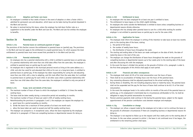#### **Article 4.13 Adoption and foster care leave**

- 1. An employee is entitled to four weeks of leave in the event of adoption or when a foster child is admitted for permanent care and education, which leave can be taken during the period stipulated in the Work and Care Act.
- 2. No salary is received during this leave, unless the employer has laid down further rules as a supplement to the benefits under the Work and Care Act. The Work and Care Act entitles the employee to benefits.

## **Section 3b Parental leave**

### **Article 4.13a Parental leave on continued payment of wages**

The provisions of this Section concern the entitlement to parental leave on (partial) pay. The provisions in the Work and Care Act apply to the entitlement to unpaid parental leave, for which purpose the total entitlement to parental leave must never exceed that provided for in the Work and Care Act.

#### **Article 4.13b Parental relationship**

- 1. An employee who has a parental relationship with a child is entitled to parental leave on partial pay. If a parental relationship with more than one child takes effect from the same date, the employee is entitled to parental leave on partial pay for each child.
- 2. An employee who is registered in the municipal personal record as living at the same address as a child, and who has cared for and educated that child as his own on a long-term basis, is entitled to parental leave on partial pay. If the employee has taken responsibility for caring for and educating more than one child, with a view to adopting, and this took effect from the same date, he is entitled to parental leave on partial pay for each child. In all other cases where a parental relationship with more than one child takes effect from the same date, the employee is entitled to only one period of leave.

## **Article 4.13c Scope, term and details of the leave**

- 1. The maximum number of hours of leave to which the employee is entitled is 13 times the weekly working hours.
- 2. The leave shall be taken weekly during a consecutive period not exceeding six months.
- 3. The maximum number of hours of leave per week is 50% of weekly working hours.
- 4. Notwithstanding the provisions in paragraphs 2 and 3, the employee can request the employer to: a. grant leave for a period exceeding six months;
	- b. divide the leave into a maximum of three periods of at least one month each;
	- c. allow the leave taken per week to exceed one-half the weekly working hours.
- 5. The employer can postpone or, in exceptional cases, refuse the leave requested by the employee referred to in paragraph 4 if there are compelling business or departmental reasons for doing so.

## **Article 4.13d Entitlement to leave**

- 1. An employee who has been employed for at least one year is entitled to leave.
- 2. The entitlement to leave lapses on the child's eighth birthday.
- 3. An employee who works outside the Netherlands is entitled to leave unless compelling business or departmental reasons dictate otherwise.
- 4. An employee who has already taken parental leave to care for a child while working for another employer is not entitled to parental leave on partial pay to care for the same child.

## **Article 4.13e Application for leave**

- 1. The employee shall inform the employer in writing of the intention to take leave at least two months prior to the starting date of the leave, stating:
	- a. the period of the leave;
	- b. the number of weekly leave hours;
	- c. the distribution of leave hours throughout the week.
- 2. The starting and ending dates of the leave can made contingent on the date of birth, the date of maternity leave or the start of the care.
- 3. The employer can change the distribution of leave hours throughout the week on the grounds of compelling business or departmental reasons up to four weeks prior to the starting date of the leave and after discussing this with the employee.
- 4. In the event the leave is divided into periods on the grounds of Article 4.31c, paragraph 4 under b, the first three paragraphs of this Article shall apply to each period.

#### **Article 4.13f Financial and other consequences**

- 1. The employee shall retain 62.5% of his total remuneration over the hours of leave.
- 2. There shall be no accumulation of holiday hours over the hours of the parental leave.
- 3. Any commuting allowance shall be adjusted proportional to the actual working days.
- 4. During illness or disability, this not including pregnancy leave or maternity leave, the parental leave shall not be suspended and the pay for the hours of leave shall continue to be 62.5 % of the total remuneration.
- 5. In the event the employee hands in his notice within six months of the end of the parental leave on partial pay, or his employment is terminated due to circumstances attributable to him, he shall be obligated to repay the partial remuneration he received.
- 6. Pension premium payments shall continue in full during the parental leave, subject to the regular apportionment of the pension contribution costs between employer and employee.

#### **Article 4.13g Cancellation or change**

- 1. The employer can refuse a request made by the employee not to take or not to continue the leave on the grounds of unforeseen circumstances if there are compelling business or departmental reasons for doing so.
- 2. The employer is not required to follow up on the request until four weeks prior to the starting date of the leave. In the case where, pursuant to article 1, the leave is not continued once it has begun, the entitlement to the remaining portion shall lapse.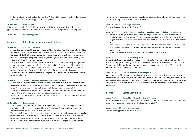3. In the event the leave is divided on the grounds of Article 4.13c, paragraph 4 under b, the first three paragraphs of the Article shall apply to each leave period.

### **Article 4.13h Hardship clause**

In the cases not provided for by Articles 4.13a to 4.13g, inclusive, or in which these articles have an apparently unreasonable effect, the employer can come to a special arrangement with the employee.

**Article 4.13i No longer applicable** 

## **Section 3c Other leave, including sabbatical leave**

## **Article 4.14 Short term care leave**

- 1. In case of serious illness of the partner, parents, children (including step children/parents, daughters and sons/mothers and fathers-in-law, foster children/parents) or other persons referred to in Article 5.1, paragraph 2 of the Work and Care Act, for whom nursing and/or care at home is necessary, an employee taking responsibility for such care and/or nursing shall be entitled to extraordinary leave, with or without retention of remuneration.
- 2. During each period of 12 successive months and for no more than twice the working hours per week, the employee, under analogous application of the Work and Care Act, remains entitled to 70% of his salary, but at least the statutory minimum wage applicable to him, and no more than 70% of the maximum day wage as referred to in Article 17(1) of the Social Insurance (Funding) Act.
- 3. Any leave exceeding the period referred to in paragraph 2 shall be granted, unless business interests do not allow for this.

#### **Article 4.15 Calamities and other short-term non-attendance leave**

- 1. An employee who by virtue of the Work and Care Act is entitled to calamities and other short-term non-attendance leave, including leave to comply with legal obligations or paternity leave, is entitled to retention of his remuneration during this leave with due observance of paragraph 3.
- 2. A calamity is taken to mean a sudden event with regard to which the employee must take measures without delay and this requires an immediate interruption of work.
- 3. The right to continued payment of wages in the event of calamities applies to no more than two days per calendar year.

## **Article 4.16a The sabbatical**

- 1. At the request of the employee, the employer may grant him long-term leave to enjoy a sabbatical.
- 2. A sabbatical is taken to mean a prolonged leave period during which the employee devotes either general or specific attention to his own employability.
- 3. When a sabbatical is granted, the employer and employee shall at least make arrangements pertaining to the details of the leave and the way in which it shall be taken, the term of the leave, whether or not remuneration payments shall be continued, payment of the pension contribution and the employee using accumulated holiday hours, referred to in Article 5.5, for part of the leave period.

4. When the employee uses accumulated leave for his sabbatical, the employer shall grant him a bonus if the employer feels it also concerns a business interest.

## **Article 4.16b & 4.16c No longer applicable**

Text moved to Appendix B, Articles B.18 and B.19

## **Article 4.17 Local regulations regarding extraordinary leave, including trade union leave**

1. In addition to the provisions in this Section, the employer can, with the permission from local employees' organisations, lay down further regulations pertaining to leave for certain activities in respect of certain special personal circumstances or in addition to the provisions of the Work and Care Act.

 These further rules could relate to, among other things, the term and scope of the leave, the (partial) continuation of remuneration payments, the conditions for leave and the payment of pension contributions.

2. The (further) rules as referred to in paragraph 1 are subject to Article 10.9.

## **Article 4.18 Other extraordinary leave**

In addition to the provisions in this paragraph or in addition to other local regulations, the employer can, at the employee's request, grant the latter extraordinary leave in the event of special circumstances. The employer decides whether this leave shall be granted with or without retention of full or partial remuneration and can impose certain conditions.

## **Article 4.19 Consequences of not resuming work**

An employee who fails to resume work following the leave granted to him shall be considered to have handed in his resignation with immediate effect, unless the employer feels the employee makes a plausible case within a reasonable time for the existence of valid reasons for not having resumed work. In the latter case, the leave shall be considered to have been extended up to the moment that these valid reasons no longer exist.

## **Section 4 Senior Staff Scheme**

## **Article 4.19a Senior Staff Scheme Transitional Provision**

Participation in the 2006 senior staff scheme, as described in Article B.21 in Appendix B, is only available to employees who come under the transitional provision in Article B.20.

#### **Article 4.20 - 4.23 No longer applicable** Text moved to Appendix B, Articles B.20 and B.21.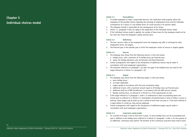## **Chapter 5 Individual choices model**

#### **Article 5.1 Preconditions**

- 1. To enable employees to make a responsible decision, the institutions shall properly inform the employees of the possible choices regarding the exchange of employment terms and the individual consequences of a choice in a tax-related sense, for social security or for pension rights.
- 2. The employee himself is responsible for the consequences of his choice.
- 3. Article 1.4, paragraph 5 does not apply to the application of the individual choices model.
- 4. If the individual choices model is applied, the number of leave hours for the employee should not be less than four times the employee's weekly working hours.

#### **Article 5.2 Definitions**

- 1. The term 'sources' refers to the employment terms the employee may offer in exchange for other employment terms, the targets.
- 2. The financial year is the calendar year to which the employee's choice of sources or targets applies.

### **Article 5.3 Sources**

- 1. The employee may choose from the following sources in time and money: a. holiday hours, with a maximum of 76 holiday hours per financial year;
	- b. salary, the holiday allowance, year end bonuses and fixed allowances.
- 2. Further arrangements with regard to the introduction of additional sources may be made in consultation with local employees' organisations.
- 3. The maximum referred to in paragraph 1 (a) does not apply if the holiday hours are used for the target referred to in Article 5.4, paragraph 1 (f).

#### **Article 5.4 Targets**

- 1. The employee may choose from the following targets in time and money:
	- a. extra holiday hours;
	- b. no longer applicable;
	- c. targets agreed in accordance with the local consultative body;
	- d. additional income, with a maximum amount equal to 38 holiday hours per financial year;
	- e. additional build up of ABP ExtraPension, in accordance with the ABP pension scheme;
	- f. flexible working hours, as referred to in Article 5.6, if the requirements are met.
- 2. If the target referred to in paragraph 1 under a is understood to mean accumulating leave over several years as referred to in Article 5.5, prolongation of parental leave or leave to follow a course or training, these targets may be built up over a period of more than one year or, if the leave referred to is taken before it is built up, they may be redeemed.
- 3. Further arrangements with regard to the introduction of additional targets may be made in consultation with local employees' organisations.

#### **Article 5.5 Long-term saving model**

1. For a period of at least 3 and no more than 5 years, 72 extra holiday hours can be accumulated each year in addition to the holiday hours referred to in Article 5.3 paragraph 1 under a, for the purpose of an additional, continuous leave period. The duration of this continuous long-term leave shall at least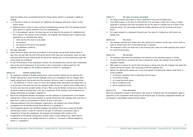equal the holiday hours accumulated during the chosen period. Article 5.7 paragraph 3 applies by analogy.

- 2. a. If the leave is taken for the purpose of a sabbatical, the employer shall grant a bonus in time and/or money.
	- b. Sabbatical leave is taken to mean a period of prolonged leave during which the employee devotes either general or specific attention to his own employability.
	- c. If, in the employer's opinion, the leave days are to be taken for the purpose of a sabbatical and this is (also) in the interest of the institution, the employer and employee shall in advance reach agreement on an individual basis about:
		- 1. when and how the leave is to be taken;
		- 2. the duration;
		- 3. the amount of the bonus to be granted;
		- 4. any additional conditions.
- 3. No longer applicable.
- 4. Unless otherwise agreed, the leave accumulated in the long-term saving model shall be taken no later than one year after the end of the period during which they were accumulated. Leave not taken shall lapse after five years following the last day of the calendar year in which entitlement under the saving model was introduced.
- 5. In case of termination of the employment contract, the accumulated leave must be taken immediately prior to the end of employment. If and insofar as this is impossible, it shall be paid out. This payment shall be subject to the conditions referred to in Article 5.7, paragraph 2.

## **Article 5.6 Flexible working hours**

- 1. An employee is entitled to flexible working hours, unless business interests do not allow for this.
- 2. Flexible working hours means that the employee comes to an arrangement with his manager about weekly working hours that deviate from the customary 38 hours a week in accordance with Article 4.1. The difference is 2 hours a week, for which the employee either relinquishes 96 holiday hours on an annual basis if he works less than the standard number of hours, or receives extra holiday hours if he works more than the standard number of hours. When using the flexible working hours scheme, the maximum number of working hours is 40. Any consequences of the variations and consequences for holiday entitlement are included in Appendix G.
- 3. Part of the arrangement between the employer and the employee on implementation of the flexible working hours scheme may involve agreeing on periods during which the employee shall work more or fewer hours a week to accommodate for periods of more or less work.
- 4. Following agreement from local employees' organisations, the employer may choose different arrangements for the flexible working hours referred to in paragraph 2.
- 5. The arrangement between the individual employee and employer about how to apply the flexible working hours scheme is made for a period of one year. If unforeseen circumstances make it imperative to change the arrangement, the employer and employee shall consult on this.
- 6. If application of the flexible working hours scheme results in extra holiday hours, these shall be considered to be equal to the holiday referred to in Article 4.7. The above is without prejudice to Article 4.7, paragraph 8.

## **Article 5.7 The value of sources and targets**

- 1. The value of sources and targets in time is expressed in the norm of holiday hours.
- 2. From 2009 onwards, in the case of a full-time job, if an exchange is made with a source or target expressed in monetary terms then the parties will set the value of a holiday hour at 0.704% of the salary per month. This percentage includes the holiday allowance and the structural end-of-year bonus.
- 3. For targets enjoyed in a subsequent financial year, the value of a holiday hour shall remain one holiday hour.

## **Article 5.8 The choice**

- 1. The employer shall lay down further rules with regard to the moment and the way in which staff can make its choice known prior to the financial year in question.
- 2. The employee's choice can relate only to one financial year, unless the model explicitly gives options for several financial years.

## **Article 5.9 The decision**

- 1. The employer shall inform the employee of the decision on the submitted request in writing.
- 2. In cases where time is converted into time or money into money, the employer shall accept the employee's request.
- 3. With regard to a request to convert time into money or money into time, the employer may reject this request stating the reasons, after discussing it with the employee first.
- 4. Reasons for rejecting the request are in any event present if accepting the request would result in serious problems:
	- a. for business operations when re allocating freed-up hours;
	- b. in the field of safety;
	- c. of a roster-technical nature;
	- d. due to insufficient work;
	- e. due to insufficient funds.

## **Article 5.10 Final stipulation**

When the employment contract is terminated in the course of a financial year, the arrangements apply in proportion to the contribution made during the full financial year. If necessary, employment benefits not yet enjoyed or unjustifiably enjoyed shall be settled.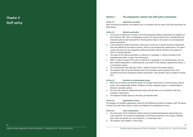## **Section 1 The employment contract and staff policy instruments**

## **Article 6.1 Application procedure**

When recruiting and selecting, the employer acts in accordance with the code of the Dutch Association for Staff Policies.

### **Article 6.2 Medical examination**

- 1. In the cases as referred to in Article 4 of the Pre-employment Medical Examinations Act (Bulletin of Acts & Decrees 1997, 365), an employment contract can only be entered into or amended after the interested party has been declared fit to fill the position based on the results of a pre-employment medical examination.
- 2. A pre-employment medical examination shall only be carried out if specific functional requirements have been defined for the relevant position, which can be translated into medical terms. The nature, content and scope of a pre employment medical examination shall be limited to the purpose for which it is being performed.
- 3. The results of the medical examination as referred to in paragraph 1, shall be forwarded to the interested party within 14 days of the examination.
- 4. Within 14 days of receipt of the report as referred to in paragraph 3, the interested party, who has been refused employment on medical grounds, may submit to the employer, supported by reasons, a re-examination request.
- 5. The re-examination shall take place within 4 weeks of receipt of the relevant request.
- 6. The employer shall set up more detailed rules for the procedure and for payment of the costs connected with the pre employment medical examination. These (further) rules are subject to Article 10.9.

#### **Article 6.3 Attention to disadvantaged groups**

- 1. Within the recruitment and selection policy, the employer shall pursue an incentive policy aimed at women, the occupationally disabled, foreigners and other employee groups in a disadvantaged or otherwise vulnerable position.
- 2. An action plan aimed at implementing this policy shall be drawn up in consultation with local employees' organisations.
- 3. The employer annually reports on the policy pursued afterwards.

#### **Article 6.4 Appointment criteria**

The employer can establish appointment criteria for the different job profiles of academic staff. The person involved must meet these criteria in order to be eligible for an employment contract.

## **Article 6.5 Career development**

- 1. The social policy of the institutions shall be aimed at promoting development opportunities and career prospects. The continued employability of staff requires attention in this respect. Mobility, both within and outside one's own institution, is a vital aspect here.
- 2. The employer shall establish a career policy.

*49*

*48*

**Chapter 6** 

**Staff policy**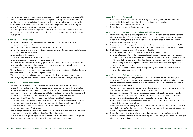- 3. Every employee with a temporary employment contract for a period of two years or longer, shall be given the opportunity to obtain career advice from a professional organisation. The employer shall bear the costs for this consultation. This possibility shall be offered within a certain time-scale so that the outcome can be used in an individual guidance programme aimed at increasing the employee's chances on the internal or external labour market.
- 4. Every employee with a permanent employment contract is entitled to career advice at least once every five years, to be completed with, if possible, consultation with an expert in the field of career development.

## **Article 6.5a Tenure track**

- 1. Tenure track is understood to mean the formally established procedure towards permanent employment for academic staff.
- 2. The following shall be stipulated in all procedures for a tenure track:
	- a. how the process referred to in the first paragraph can lead to employment for an indefinite period of time in an academic position;
	- b. the duration of the process;
	- c. the assessment procedure and assessment criteria;
	- d. the consequences of a positive or negative assessment.
- 3. The period referred to in the second paragraph under b can be extended, pursuant to article 2.2a, paragraph 4, by a maximum of three months in the case of pregnancy and maternity leave or a long term period of illness or occupational disability.
- 4. The decision concerning conversion into permanent employment shall be taken well before the end of the period referred to in the second paragraph under b.
- 5. If this process does not lead to permanent employment, Article 2.2, paragraph 5 shall apply.
- 6. The employer may establish further regulations in consultation with local employees' organisations.

## **Article 6.6 Annual consultation**

- 1. With due observance of any further rules to be laid down by the employer and taking into consideration the performance in the previous period, the employee will meet with his or her line manager at least once a year with regard to the way in which the employee is expected to perform or pursue his or her career during a future set period to be agreed upon, as well as the conditions under which this shall take place. This annual meeting will focus on the following, inter alia:
	- a. the well-being of the employee (including physical and mental health aspects);
	- b. the employee's employability, including knowledge and skills in relation to future requirements, the employee's prospective career development, personal development and any additional education needs as well as the timescale in which this can be achieved; and
	- c. the employee's degree of motivation.
- 2. These meetings shall take place in an open atmosphere with an equal contribution from both parties; the agreements to be made shall be laid down in writing and evaluated.
- 3. Multi-year career development objectives and agreements are laid down in a personal development plan. These agreements and objectives will be laid down and evaluated in writing.

## **Article 6.7 Assessment**

- 1. A periodic assessment shall be carried out with regard to the way in which the employee has performed his duties and his behaviour during the performance of his duties.
- 2. The employer shall lay down assessment rules.
- 3. The employee is obliged to sign the assessment as read.

## **Article 6.8 Doctoral candidate training and guidance plan**

- 1. The employer shall see to it, following consultation with the doctoral candidate and in accordance with a customised plan for training and guidance set up for the doctoral assistant by the appointed mentor or supervisor, that this plan is forwarded to the doctoral assistant within 3 months of inception of the employment contract.
- 2. Towards the end of the first year the training and guidance plan is worked out in further detail for the remaining term of the employment contract and may be adjusted annually thereafter, if so required.
- 3. The training and guidance plan shall in any case establish:
	- a. what knowledge and skills must be acquired and how this should be done;
	- b. who shall act as mentor for the doctoral candidate, i.e. under whose supervision the doctoral candidate shall work and who shall be the promoter. If the mentor is not the promoter, it is also stipulated that the doctoral candidate shall discuss the doctoral research with the promoter at the beginning of the research project and at moments which are decisive for the progress of the research, at least once a year;
	- c. the extent, in minimum hours per month, of personal guidance from the appointed mentor to which the doctoral candidate is entitled.

## **Article 6.9 Training and development**

1. Keeping a close eye on the employee's knowledge and experience is of vital importance, also to preserve, and if possible strengthen, the employee's opportunities on the labour market, both within and outside the university sector as well as to ensure the employee's knowledge and skills meet the requirements of the employer.

 Maintaining this knowledge and experience at the desired level and further developing it is a joint responsibility and obligation of the employer and the employee.

Each year the employee will be granted at least two development days for working on his or her long-term employability. Development days may be saved for future use provided this has been agreed in writing between the employer and employee before the end of the year.

 If no agreement is made as referred to in the previous sentence, development days that remain used at the end of the calendar year will lapse.

 Development days are not holiday days and cannot be sold. Development days that remain unused at the end of the term of employment will lapse. The actual use made of the development days may be recorded in a portfolio of the employee.

2. The employer may instruct the employee to attend compulsory study or training courses, if so required to function properly in a current or future position. The employer shall provide the employee with the necessary facilities in this respect.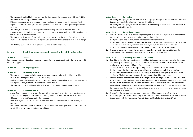- 3. The employee is entitled to training and may therefore request the employer to provide the facilities needed to attend a study or training course.
- 4. If the request as referred to in paragraph 3 above pertains to a study or training course which is required to enable the employee to develop properly in his position, the employer shall provide the facilities.
- 5. The employer shall provide the employee with the necessary facilities, even when there is little relation between the study or training course and the current or future position, if this contributes to the employee's career development.
- 6. The employer shall lay down further rules concerning repayment of the costs of a study or training course and can decide on further rules regarding the provision of facilities as referred to in paragraph 5.
- 7. The (further) rules as referred to in paragraph 6 are subject to Article 10.9.

## **Section 2 Disciplinary measures and suspension in public universities**

## **Article 6.10 General**

If an employer imposes a disciplinary measure on an employee of a public university, the provisions of this Section shall apply.

## **Article 6.11 No longer applicable**

## **Article 6.12 Disciplinary measures**

- 1. The employer can impose a disciplinary measure on an employee who neglects his duties; this measure shall be in proportion to the neglect of duty.
- 2. Neglect of duty comprises the breach of any regulation and acting or failure to act in accordance with how a proper employee should act under similar circumstances.
- 3. The employer can lay down further rules with regard to the imposition of disciplinary measures.

## **Article 6.13 Freedom of speech**

- 1. A disciplinary measure due to breach of Article 125a, paragraph 1 of the Civil Servants Act (limiting the constitutional rights of civil servants), may only be imposed after relevant advice has been obtained from a committee set up by the employer.
- 2. Rules with regard to the composition and procedures of this committee shall be laid down by the employer.
- 3. When announcing the decision to impose a disciplinary measure, the employer shall indicate whether or not this is in accordance with the advice obtained.

## **Article 6.14 Suspension**

- 1. An employee is legally suspended if on the basis of legal proceedings or the Law on special admission to psychiatric hospitals he has been deprived of his liberty;
- 2. An employee is not legally suspended if the deprivation of liberty is the result of a measure taken in the interest of public health.

## **Article 6.15 Suspension continued**

- 1. Without prejudice to the rules surrounding the imposition of a disciplinary measure as referred to in Article 6.12, the employer may suspend an employee from active duty:
	- a. if prosecution for a criminal offence has been instituted against him;
	- b. if the employer has notified the employee that they intend to unconditionally dismiss him as part of a disciplinary measure, or if such a disciplinary measure has already been imposed;
	- c. if, in the opinion of the employer, this is required in the interest of the institution.
- 2. The decree, by means of which the employee is suspended from active duty, shall indicate the commencement date and the circumstances that gave rise to the suspension.

## **Article 6.16 Disciplinary measures and suspension**

- 1. One-third of the total remuneration may be withheld during suspension. After six weeks, the amount withheld may be increased up to the total remuneration. No remuneration shall be withheld if the employee has been suspended from active duty because:
	- a. this, in the opinion of the employer, is required in the interests of the institution;
	- b. the employee has been admitted to a psychiatric institution or an equivalent institution;
	- c. the employee has been taken into police custody or arrested as envisaged by Article 57 of the Code of Criminal Procedure, provided that this is not followed by imprisonment.
- 2. The remuneration that has been withheld may be paid out to the employee later, in whole or in part, if the suspension is not followed by an unconditional dismissal as a disciplinary measure or dismissal on the grounds of an irrevocable sentence of imprisonment as a result of a crime. The income that the employee could potentially have earned from work he was able to perform since suspension, shall be deducted from the remuneration to be paid out, unless this, in the opinion of the employer, would be unreasonable or unfair.
- 3. That part of the employee's remuneration that is not withheld may be paid out to others.
- 4. If the employee is suspended while being ill, remuneration is understood to mean the term as defined in accordance with the Sickness and Disability Scheme of the Dutch Universities (ZANU).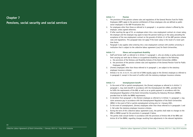## **Chapter 7**

## **Pensions, social security and social services**

### **Article 7.1 Pension**

- 1. The provisions of the pension scheme rules and regulations of the General Pension Fund for Public Employees (ABP) apply to the pension entitlement of those employees who are defined as public sector employees in the ABP Privatisation Act.
- 2. For employees other than those as referred to in paragraph 1, no pension scheme is offered by the employer, unless agreed otherwise.
- 3. If after reaching the age of 55, an employee enters into a new employment contract at a lower salary, the employer and the employee may agree to base the pension build-up on the salary preceding the acceptance of the new employment contract on the grounds of Article 3.5 of the ABP pension scheme rules and regulations. This paragraph does not apply if the lower salary is the result of a lower parttime factor.
- 4. Paragraph 3 also applies when entering into a new employment contract with another university or institution that is subject to the collective labour agreement (cao) for Dutch Universities.

### **Article 7.2 Illness and occupational disability**

- 1. Staff and former staff, as referred to in Article 7.1 paragraph 1, who are wholly or partly prevented from carrying out work due to illness or occupational disability are subject to the following:
	- a. the provisions of the Sickness and Disability Scheme of the Dutch Universities (ZANU);
	- b. the provisions of the pension scheme rules and regulations of the General Pension Fund for Public Employees (ABP).
- 2. (Former) employees other than those referred to in paragraph 1, are subject to the statutory employee insurance schemes.
- 3. Articles 2 to 19, 41 to 47, 51c and 51d of ZANU equally apply to the (former) employee as referred to in paragraph 2, except in the event of conflict with the statutory employee insurance schemes.

## **Article 7.3 Unemployment benefit**

- 1. In the event of full or partial unemployment, the (former) employee as referred to in Article 7.1 paragraph 1, may claim benefit in accordance with the Unemployment Act (WW), provided that he fulfils the requirements of the WW, as well as an ex gratia payment in accordance with the Unemployment Regulation of the Dutch Universities Exceeding the Statutory Minimum (BWNU), provided that he fulfils the BWNU requirements.
- 2. In deviation from paragraph 1, the (former) employee as referred to in Article 7.1 paragraph 1, may claim severance pay in accordance with the Unemployment Regulation of the Dutch Universities (WNU) in the event of full or partial unemployment arising prior to 1 January 2001.
- 3. In the event of unemployment, (former) employees other than those referred to in paragraphs 1 and 2, fall under the statutory employee insurance schemes.
- 4. During the term of this collective labour agreement (cao), the parties shall make no changes to the WNU or BWNU except for the provisions in paragraph 5 below.
- 5. The parties shall consult further in accordance with the provisions of Article 49b of the WNU and Article 20 of the BWNU, regarding changes resulting from adjustments in the relevant legislation.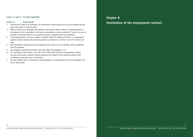## **Article 7.4 and 7.5 No longer applicable**

#### **Article 7.6 Death benefit**

- 1. Following the death of an employee, his remuneration shall be paid out up to and including the last day of the month in which he died.
- 2. After the death of an employee, the employer shall pay the widow, widower or registered partner a net payment which is equivalent to the gross remuneration covering a period of 3 months, as soon as possible. This amount shall be a net payment insofar as allowed by the tax regulations.
- 3. If the deceased does not leave a widow or widower within the meaning of Article 1.4, paragraph 6, payment shall be made to the remaining relatives as referred to in Article 7: 674 of the Dutch Civil Code.
- 4. Any remuneration already paid to the employee and to which he is not entitled, shall be deducted from this payment.
- 5. The employer may determine further rules with regard to paragraphs 1 to 3.
- 6. If in accordance with Articles 1:413 and 1:414 of the Dutch Civil Code a presumption of death has been pronounced, a benefit shall be granted at the request of the remaining relatives that corresponds to the provisions in this Article.
- 7. The day of death shall, in conjunction with paragraph 6, be understood to mean the employee's last known working day.

## **Chapter 8**

**Termination of the employment contract**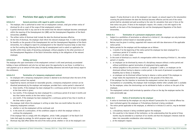## **Section 1 Provisions that apply to public universities**

## **Article 8.1 General provisions with regard to public universities**

- 1. The employer, who is authorised to enter into an employment contract, shall give written notice of dismissal for all or a part of the scope of that employment contract.
- 2. A partial dismissal shall in any case be to the extent that the relevant employee becomes unemployed within the meaning of the Unemployment Act (WW) and the Unemployment Regulation of the Dutch Universities ((B)WNU).
- 3. The written notice of dismissal shall include the date the dismissal becomes effective.
- 4. At the time of dismissal, the employer shall inform the relevant employee that, in order to be eligible for benefits on the grounds of the Unemployment Act and the Unemployment Regulation of the Dutch Universities, he is obliged to report his unemployment to the industrial insurance body no later than on the first working day following the first day of unemployment and to submit an application for benefits within three weeks of becoming unemployed, without prejudice to the other provisions of the Unemployment Regulation of the Dutch Universities relating to the obligations of the relevant employee.

## **Article 8.2 Holiday and leave**

The employee who upon termination of the employment contract is still owed previously accumulated holiday or leave entitlements and who has not been given the opportunity to use those, is entitled to a cash payment up to an amount of the salary (including holiday allowance and end-of-year bonus) equal to the entitlement.

## **Article 8.3 Termination of a temporary employment contract**

- 1. An employee with a temporary employment contract is deemed to be dismissed when the term of the employment contract has expired.
- 2. Supported by reasons and based on reasonable grounds, a temporary employment contract can be dissolved prematurely by the employer and employee, provided that a notice period is observed of:
	- a. three months, if the employee has been employed for a continuous period of at least 12 months at the time notice is given;
	- b. two months, if the employee has been employed for a continuous period of at least 6 months and less than twelve months at the time notice is given;
	- c. one month, if the employee has been employed for a continuous period of less than 6 months at the time notice is given.
- 3. The employer shall inform the employee in writing no later than one month before the end of a temporary employment contract:
	- a. whether or not the employment will be continued; and
	- b. in the event of a continuation, of the conditions subject to which the employer wishes to continue the employment.

 If the employer fails to comply with this obligation, article 7:668, paragraph 3 of the Dutch Civil Code shall apply by analogy, for which purposes wage is to be read as salary.

4. Dismissal may take effect before the end of the notice period, whether or not at the employee's own

request. If early dismissal is not at the employee's own request, an amount equal to the remuneration covering the period between the date the dismissal becomes effective and the end of the notice period shall be calculated and paid according to the rules for calculation that were in force at the time notice was given. If done at the employee's request, this creates a risk with regard to the benefits on the basis of the Unemployment Act and the Unemployment Regulation of the Dutch Universities.

## **Article 8.4 Termination of a permanent employment contract**

- 1. Subject to a prohibition of termination as referred to in Article 8.7, the employer can only terminate the employment contract based on reasonable grounds.
- 2. Notices must be given in writing, supported with reasons and with due observance of the applicable notice period.
- 3. Notice periods for the employer and the employee are as follows:
	- a. 3 months if at the beginning of the notice period the employee has been employed for a continuous period of 12 months or more;
	- b. 2 months in all other cases.
- 4. In the event of dismissal as a result of a reorganisation within the meaning of Article 9.1, the notice period is 3 months.
- 5. a. an employee can be dismissed by means of a disciplinary measure without a notice period and without prohibitions against termination of employment being applicable.
	- b. without prejudice to the provisions in article 8.7, paragraph 1 under a, an employee can be dismissed without having to observe a notice period, in the event of permanent occupational disability due to illness or disability.
	- c. an employee can be dismissed without having to observe a notice period if the employee no longer meets the requirements for appointment on the grounds of the Aliens Act.
- 6. If the employer has the intention to terminate the employment contract due to employee's incompetence or unsuitability, the employer shall investigate whether other suitable work is available for the employee, unless the shortcomings can be attributed to faults or actions on the part of the employee.
- 7. The employment contract shall terminate by operation of law on the day the employee reaches the state pensionable age.

## **Article 8.5 Notice of termination by the employer**

- 1. A notice to terminate by the employer can only be refused if prosecution for a criminal offence has been instituted against the employee or if disciplinary dismissal is being considered.
- 2. The notice period applicable to the employee, as referred to in Articles 8.3 and 8.4, may be deviated from if:
	- a. a disciplinary measure is being considered against the employee;
	- b. this would be in the interest of the institution, on the understanding that the period of three months may be extended to a maximum of six months and that the employee's interests shall be taken into reasonable consideration when extending;
	- c. at the employee's request.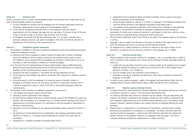## **Article 8.6 Dismissal order**

Insofar as the jobs to be cut contain interchangeable positions, the dismissal order is determined on the basis of interchangeable positions per category:

- a. The first candidates for dismissal are the employees with the shortest employment history per institution, organisational unit and category of interchangeable positions.
- b. In the event of simultaneous dismissal of ten or more employees within the relevant organisational unit, the employer may apply sub a per age group: 15-25 years of age, 25-35 years of age, 35-45 years of age, 45-55 years of age and those of 55 and older.
- c. The employer may deviate from the abovementioned order if it can make it plausible that a particular employee possesses such special knowledge or skills that his dismissal would be too detrimental to the functioning of the organisational unit.

## **Article 8.7 Prohibitions against termination**

- 1. The employer is forbidden to terminate a permanent employment contract and prematurely terminate a fixed term employment contract:
	- a1. during the time that an employee is unable to perform his duties due to illness or disability, unless the inability to work has lasted a minimum of one hundred and four weeks or unless the inability to work commenced after the employee was informed in writing that he was to be dismissed, or when the situation as referred to in Article 8.8 applies;
	- a2. in the event that the Employed Persons' Insurance Administration Agency (UWV) determines during the claim assessment following the one-hundred-and-four-week period of occupational disability that the remaining earning capacity is over 65%;
	- b. during the time that an employee is conscripted into the army/alternative service;
	- c. during pregnancy; the employer may request a declaration from a physician or midwife as proof of pregnancy;
	- d. during the period in which the employee is on maternity leave as intended in Article 3.1 paragraph 3 of the Work and Care Act and during a period of six weeks after resuming work or a period of incapacity for work as a result of the birth or the preceding pregnancy following maternity leave.
- 2. The employer cannot terminate an employee's employment contract due to:
	- a. the employee exercising his right to parental leave;
	- b. marriage or partner registration of the employee;
	- c. the fact that the employee takes leave to attend meetings as part of the fulfilment of a public-law position, with the exception of an employee who, as a member, attends meetings of the House of Representatives of the States General or its committees or who has accepted an appointment as Minister or State Secretary;
	- d. placement on a list of candidates for the employee participation body as referred to in Article 1.1 sub o;
	- e. the performance of tasks flowing from his membership in the employee participation body as referred to in Article 1.1, or because of this membership for a period of two years after its termination;
	- f. membership of a standing committee of the body stated under e;
- g. membership of the Occupational Health and Safety Committee and for a period of two years following termination of that membership;
- h. being an expert employee as referred to in Article 13, paragraph 1 of the Working Conditions Act;
- i. being the official secretary of the employee participation body stated under e;
- j. the employee having requested modification of the working hours, judicially or extra-judicially.
- 3. The employer is not permitted to terminate an employee's employment contract because of membership of a trade union or because he performs or participates in trade union activities, unless those activities are performed during working hours without permission.
- 4. The termination prohibitions listed in this Article do not apply if the employee agrees to his dismissal in writing.
- 5. Paragraph 1 does not apply if the dismissal is the result of activities of the organisational unit in which the employee was mainly or exclusively working being discontinued.
- 6. An employee who is unable to perform his work due to unfitness as the result of illness can be dismissed in accordance with the provisions of article 3, third paragraph sub e, of ZANU.

## **Article 8.8 Dismissal during illness**

- 1. Without prejudice to the provisions of Article 8.7, paragraph 1, sub a, an employee who is unable to work in connection with incapacity due to illness may be dismissed if without reasonable grounds he refuses to:
	- a. comply with any reasonable instructions given or measures taken by the employer or by an expert appointed through the employer to enable him to carry out his work or other suitable work as referred to in Article 1 sub r of ZANU; or
	- b. carry out suitable work on the instruction of the employer; or
	- c. cooperate in drawing up, evaluating and adjusting an action plan as referred to in Article 25, paragraph 2 of the WIA.
- 2. In order to assess whether paragraph 1 applies, the employer shall seek relevant advice from the Employed Persons' Insurance Administration Agency (UWV) and take this into consideration.

## **Article 8.9 Objection against dismissal decision**

- 1. In respect of decisions made pertaining to dismissal objections, the employer shall set up an advisory committee as referred to in Article 7:13 of the General Administration Act.
- 2. This advisory committee shall consist of a chairman and two members. They are appointed by the employer. One member is proposed by the employer, whereas the other member is proposed by the joint employees' organisations part of this collective labour agreement (cao). The members jointly propose a chairman. Substitute members and a deputy chairman are proposed following the same procedure.
- 3. Dismissal due to a reorganisation or discontinuation of the position, redundant staff, no longer meeting the job requirements, incompetence or unsuitability - not being a dismissal within the meaning of article 8.3 paragraph 1 - shall not take effect until one week after the employer has reached a decision on the objection. Article 9.15, paragraph 3 shall also apply in the case of involuntary dismissal resulting from reorganisation at a public university.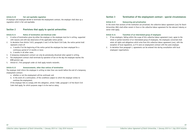## **Article 8.10 Fair and equitable regulation**

If employer and employee decide to terminate the employment contract, the employer shall draw up a regulation which is fair and equitable.

## **Section 2 Provisions that apply to special universities**

## **Article 8.11 Notice of termination and dismissal order**

- 1. A notice of termination given by either the employer or the employee must be in writing, supported with reasons and with due observance of the applicable notice period.
- 2. In deviation from Article 7:672, paragraphs 2 and 3 of the Dutch Civil Code, the notice period shall represent a term of:
	- a. 3 months if at the beginning of the notice period the employee has been employed for a continuous period of 12 months or more;
	- b. 2 months in all other cases.
- 3. A temporary employment contract can only be prematurely dissolved when agreed in writing.
- 4. The employment contract shall terminate by operation of law on the day the employee reaches the AOW-pension age.
- 5. Article 8.7, first paragraph under a2 shall apply mutatis mutandis.

## **Article 8.12 Announcements, other than notices of termination**

The employer shall inform the employee in writing no later than one month before the end of a temporary employment contract:

- a. whether or not the employment will be continued; and
- b. in the event of a continuation, of the conditions subject to which the employer wishes to continue the employment.

 If the employer fails to comply with this obligation, article 7:668, paragraph 3 of the Dutch Civil Code shall apply, for which purposes wage is to be read as salary.

## **Section 3 Termination of the employment contract - special circumstances**

## **Article 8.13 Outsourcing and privatisation**

In the event that sections of the institution are privatised, the collective labour agreement (cao) for Dutch Universities (NU) shall either remain in force or the collective labour agreement for the relevant industry or sector shall apply.

## **Article 8.14 Transition of an interrelated group of employees**

- 1. If two employers, falling within the scope of this collective labour agreement (cao), agree to the whole or partial transition of an interrelated group of employees, the employees concerned shall retain all rights and obligations which arise from this collective labour agreement (cao), with the exception of local regulations, as if it were an employment contract with the same employer.
- 2. In deviation from paragraph 1, agreements can be entered into during consultation with local employees' organisations.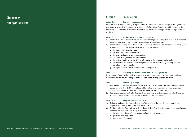## **Chapter 9 Reorganisations**

## **Section 1 Reorganisation**

#### **Article 9.1 Concept of reorganisation**

Reorganisation within a university, or a part thereof, is understood to mean a change in the organisation as referred to in Article 25, paragraph 1, sections a to f of the Works Councils Act, which relates to the university, or an important part thereof, involving direct and radical consequences for the legal status of employees.

#### **Article 9.2 Notification of intention to reorganise**

- 1. The local employees' organisations and the competent employee participation body shall be informed in writing with regard to an intended reorganisation in a timely manner.
- 2. The intention to reorganise includes, insofar as possible, information on the following subjects, yet in any case informs on the subjects listed under a, b, f and g below:
	- a. the reasons for the reorganisation;
	- b. the objective of the reorganisation;
	- c. the nature and scope of the reorganisation;
	- d. The financial and/or formative preconditions;
	- e. the basic principles and preconditions with regard to the consequences for staff;
	- f. the procedure that shall be followed in preparing for and implementing the reorganisation, including an overall planning;
	- g. the expected consequences for the legal status in general.

#### **Article 9.3 Discussing the drastic consequences for the legal status**

Local employees' organisations shall be given at least one opportunity to discuss with the employer the manner in which the drastic consequences for the legal status of employees are dealt with.

#### **Article 9.4 Redundancy package**

- 1. In the event of radical consequences for the legal status of employees, the Social Policy Framework, as detailed in Section 2 of this chapter, shall be applied; it is agreed with the local employees' organisations whether a Redundancy Package shall be prepared in addition to this.
- 2. Radical consequences for the legal status of employees are taken to mean, among other things, an important change in position or transfer to another organisational unit.

#### **Article 9.5 Reorganisation and Staff Plan**

- 1. Following on from and with due observance of the details in the intention to reorganise, the employer shall draw up a Reorganisation and Staff Plan.
- 2. The Reorganisation Plan shall give a detailed description of the intended change in the organisation. The Reorganisation Plan shall in any case include:
	- a. the objective and task of the new organisation and its separate units;
	- b. quantitative staffing details;
	- c. qualitative staffing details.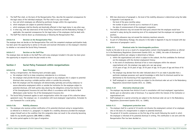- 3. The Staff Plan shall, on the basis of the Reorganisation Plan, describe the expected consequences for the legal status of the individual employee. The Plan shall in any case include:
	- a. how and which employees are affected by positional changes within the organisation;
	- b. which employees are subject to potential dismissal;
	- c. which employees shall be directly and drastically affected in their legal status in any other way;
	- d. in what way, with due observance of the Social Policy Framework and the Redundancy Package, if applicable, the expected consequences for the legal status of the employees shall be dealt with.
- 4. The Staff Plan shall be drawn up simultaneously or following the Reorganisation Plan.

## **Article 9.6 Decision on the Reorganisation Plan**

The employer does not decide on the Reorganisation Plan until the competent employee participation body has been given the opportunity to advise on the plan and received information on the employer's intention to whether or not extend the Social Policy Framework.

## **Article 9.7 Decision on the Staff Plan**

The employer does not decide on the Staff Plan until every employee included in the plan has been given the opportunity to respond to what the plan entails to him.

## **Section 2 Social Policy Framework within reorganisations**

## **Article 9.8 Basic Principles**

- 1. During a reorganisation, the following basic principles apply:
	- a. the employer shall try to keep compulsory redundancies to a minimum;
	- b. the employer shall provide the best possible support to any employee who is subject to potential dismissal when securing a suitable position within or outside the university;
	- c. Both the employer and the employees will demonstrably optimally and actively endeavour to secure alternative employment within or outside the institution for the employee subject to potential dismissal, with both parties duly observing the obligations arising from Section 72a of the Unemployment Insurance Act and their effects in accordance with the Guide to Work (Werkwijzer) under Section 72a of the Unemployment Insurance Act.
- 2. The Social Policy Framework applies to each reorganisation within the scope of this collective labour agreement (cao). The employer can, in consultation with local employees' organisations, formulate its own framework for a social policy.

## **Article 9.8a Mobility allowance**

- 1. The employee who receives written notification of his potential dismissal owing to reorganisation, as referred to in Article 9.11, paragraph 2 is eligible for a mobility allowance provided the employee resigns himself and on the condition that this resignation does not result in the university becoming liable for any benefit payments (WW, BWNU or ZANU).
- 2. No notice period applies to this type of resignation.
- 3. With due observance of paragraph 4, the level of the mobility allowance is determined using the table in Appendix K and depends on:
	- the level of the gross monthly salary;
	- the number of years of service up to a maximum of 12 years;
	- the date of commencement of the employee's resignation.
- 4. The mobility allowance may not exceed the total gross amount that the employee would have received in salary during the remaining term of his employment had the employee not resigned his position.
- 5. The mobility allowance may not exceed the statutory maximum amounts.
- 6. As part of a Redundancy Package, the amounts in the table in Appendix K may be increased with due observance of paragraphs 4 and 5.

## **Article 9.9 Dismissal order for interchangeable positions**

Insofar as the jobs to be cut as a result of a reorganisation contain interchangeable positions as referred to in the Redundancy Regulations (Government Gazette 2015, no. 12685), the order of dismissal of interchangeable positions per category is determined as follows:

- a. within the organisational unit which is subject to the cutback, the first candidates for dismissal are the employees with the shortest employment history;
- b. in the event of simultaneous dismissal of ten or more employees within the relevant organisational unit, the employer may apply sub a per age group: 15-25 years of age, 25-35 years of age, 35-45 years of age, 45-55 years of age and those of 55
- and older; c. The employer may deviate from the order indicated above if it can make it plausible that a particular employee possesses such special knowledge or skills that his dismissal would be too detrimental to the functioning of the organisational unit;
- d. Staff employed at a special university are subject to the dismissal order set out in the Redundancy Regulations (Government Gazette 2015, no. 12685).

## **Article 9.10 Alternative dismissal order**

- 1. The employer may deviate from Article 9.9 and in consultation with local employees' organisations decide upon an alternative order of dismissal, if so required within the interest of the institution or organisational unit.
- 2. Staff employed at a special university are subject to the dismissal order set out in the Redundancy Regulations (Government Gazette 2015, no. 12685).

## **Article 9.11 Employment protection term**

- 1. The employer shall for a period of 10 months not dissolve the employment contract of an employee who on the basis of a reorganisation is subject to potential dismissal.
- 2. The period of 10 months commences on the first day of the month following the month in which the employee is informed of his potential dismissal in writing. This notification is not sent until the Reorganisation Plan has been decided on.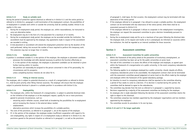## **Article 9.12 Study on suitable work**

During the period of protection against dismissal as referred to in Article 9.11 and the notice period as referred to in Article 8.4, paragraph 4 until termination of the employment contract, the possibilities of re-employment in suitable work within or outside the university shall be carefully studied. Article 9.12a applies in this case.

- 1. During the re-employment study period, the employee can, within reasonableness, be instructed to carry out alternative duties.
- 2. Re-employment may be in the form of a trial placement for a maximum of 12 months.
- 3. During the re-employment study period, the employee can be seconded outside the institution. The secondment must be approved by the employer. Any agreements made in respect of the secondment are recorded in writing.
- 4. A trial placement or secondment will extend the employment protection term by the duration of the work performed, taking into account the number of hours required to perform this temporary work. This extension may last no longer than 12 months.

#### **Article 9.12a Suitable position**

A position is considered suitable if, in the opinion of the employer, the employee or placement candidate:

- possesses the knowledge and skills deemed necessary to perform the function effectively or;
- if, in the opinion of the employer, the employee or placement candidate can be retrained or given further training within 12 months;
- the position can reasonably be assigned to the person concerned in view of his personality, his circumstances and his prospects;

unless compelling business interests do not allow for it.

#### **Article 9.13 Filling an internal vacancy**

The employee, who is subject to potential dismissal as a result of a reorganisation as referred to Article 9.1, shall be given priority when filling internal vacancies. The employer will ensure that the employee subject to potential dismissal is placed in a suitable position in accordance with Article 9.12a.

## **Article 9.14 Employability**

- 1. The employee who, within the framework of a reorganisation, is subject to potential dismissal shall, on the initiative of the employer or at the employee's request, qualify for one or more provisions geared to personal circumstances, such as:
	- retraining and/or refresher courses, aimed both at broadening the possibilities for re-employment and at increasing the chances in the external labour market;
	- outplacement;
	- alternative provisions which increase the possibilities of a suitable position.
- 2. The costs of the provisions, as referred to in paragraph 1, are at the expense of the employer.
- 3. If, in the opinion of the employer, the employee renders insufficient cooperation with regard to his own employability, any rights in respect of a re-employment study as referred to in Article 9.12, the provisions geared to the personal situation as referred to in paragraph 1, as well as the provisions

 of paragraph 5, shall lapse. On that occasion, the employment contract may be terminated with due observance of the notice period.

4. If the employee referred to in paragraph 1 has refused to accept a suitable position, the employment contract can be terminated with due observance of the notice period, while there shall be no assessment pursuant to Article 9.15.

 If the employee referred to in paragraph 3 refuses to cooperate in the redeployment investigation, the employer can request the assessment committee to give a decision immediately pursuant to Article 9.15.

5. During the re-employment study and for up to a maximum of two years following the dismissal date the employee shall, at his request and insofar as he is unemployed, be informed on vacancies within the institution. He shall be regarded as an internal candidate for those vacancies.

## **Section 3 Assessment committee**

### **Article 9.15 Assessment Committee for public universities**

- 1. Within the framework of the policy aimed at the prevention of involuntary unemployment, an assessment committee has been set up for the public universities at sector level.
- 2. The task of this committee is to assess the efforts of the employer and employee, as agreed upon within the framework of a reorganisation at a public university, in the event compulsory redundancies are intended.
- 3. The following applies to an employee employed by a public university: should, despite all efforts, compulsory redundancies prove to be unavoidable, the employment contract shall not be terminated until the assessment committee passed judgement at sector level on the efforts made by the employer and employee within the framework of the agreed redundancy package.
- 4. An intention to resort to compulsory redundancies shall be reported to the committee allowing a period of four weeks to come to a decision. If no decision is reached during this period, the committee shall be deemed to agree to the redundancies.
- 5. The committee may deviate from the term as referred to in paragraph 4, supported by reasons.
- 6. Decisions supported by a majority of the assessment committee are binding for the employer.
- 7. An employee who is made redundant following the decision of the assessment committee retains the right to object to this dismissal.
- 8. The committee comprises two members appointed by the employees' organisations and two members appointed by the employers.
- 9. The committee records its procedures in its own by-laws.

## **Article 9.16 and 9.17 No longer applicable**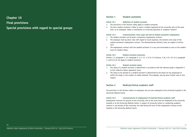## **Chapter 10**

## **Final provisions**

## **Special provisions with regard to special groups**

## **Section 1 Student assistants**

## **Article 10.1 Definition of student assistant**

- 1. The provisions in this Section solely apply to student assistants.
- 2. The term student assistant is taken to mean a student registered at the university who at the same time, as an employee, makes a contribution to university education or academic research.

## **Article 10.2 Commencement, term scope and end of student assistant's employment**

- 1. The student assistant can be given a temporary employment contract.
- 2. The employer shall lay down rules with regard to travel expenses, the duration and scope of the student assistant's employment contract. The aforementioned (further) rules are subject to Article 10.9.
- 3. The employment contract with the student-assistant is in any case terminated as soon as the student loses his student status.

### **Article 10.3 Student assistant exclusions**

Articles 1.5, paragraph 2, 2.2, paragraph 5, 3.3, 3.5, 3.13 to 15 inclusive, 3.18, 3.21, 6.9, 8.3, paragraph 3, and 8.12 do not apply to student assistants.

## **Article 10.4 Student assistant salary**

- 1. The salary of a student assistant is determined in accordance with the relevant grade in Appendix A to this collective labour agreement (cao).
- 2. The salary to be granted to a student-assistant is determined by the phase he has progressed to within the study, or the number of credits attained. The employer may lay down further rules in this respect.

## **Section 2 Medical/clinical academic staff**

The provisions in this Section relates to employees who are also employed at the university hospital or the University Medical Centre.

## **Article 10.5 Commencement of employment of medical/clinical academic staff**

Employment contracts for persons at the university, who at the same time are employed at the university hospital or at the University Medical Centre, in respect of university tuition or conducting academic research in any faculty of the university, are valid during the term of the employment contract at the hospital or the University Medical Centre.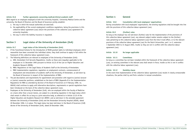## **Article 10.6 Further agreements concerning medical/clinical academic staff**

With regard to an employee employed at both the university hospital / University Medical Centre and the university, the Board of Directors and the Board of Governors jointly establish:

- a. the way in which the mutual authorities are exercised;
- b. the applicability of the current employment conditions regulations, being the provisions in this collective labour agreement (cao) and/or the provisions of the collective (cao) agreement for university hospitals;
- c. the way in which the liability insurance is regulated.

## **Section 3 Legal status of the University of Amsterdam (UvA)**

## **Article 10.7 Legal status of the University of Amsterdam (UvA)**

- 1. If the Transitional Scheme for the Introduction of RUVA granted rights to individual employees which meanwhile have been converted into individual claims, they shall continue to apply in full within the framework of this collective labour agreement (cao).
- 2. The following definitions are relevant to employees of the University of Amsterdam (UvA):
	- a. ARA: Amsterdam Civil Servants Regulations, insofar as these were (equally) applicable to the employee on 31 December 1995 pursuant to Article 16.23 of the Law on Higher Education and Academic Research (WHW);
	- b. RWU: Regulations on the Legal Status of Academic Staff at the University of Amsterdam;
	- c. RWU implementation regulations: regulation on employment contracts, commencement of employment and remuneration of academic staff at the University of Amsterdam, as laid down by the Board of Governors in respect of the implementation of RWU.
- 3. The job descriptions and requirements for appointment and promotion with regard to (senior) lecturer or (senior) researcher positions, established on the basis of RWU (Appendix B in the Implementation Regulations for RWU as amended by decision of the Board of Governors on 9 February 1996. no. 00030) shall continue to apply until alternative descriptions, requirements or special regulations have been introduced on the basis of the collective labour agreement (cao).
- 4. Employees at the University of Amsterdam (UvA), who are employed within the Faculty of Medicine on a basis other than a locum tenens, are subject to a deviating regulation in the legal status which shall remain in effect for as long as a joint executive body, as referred to in Article 12.22 of the Higher Education and Academic Research Act (WHW ) and as laid down in the amended agreement between the University of Amsterdam (UvA) and the Amsterdam University Hospital (AZUA), dated 20 December 1996, is in place. This legal status has been laid down in the Board of Governors (CvB) decree of the University of Amsterdam (UvA), dated 20 December 1996.

## **Section 4 General**

### **Article 10.8 Consultation with local employees' organisations**

During consultation with local employees' organisations, the existing regulations shall be brought into line with the provisions of this collective labour agreement (cao).

### **Article 10.9 (Further) rules**

As long as the employer has not laid down (further) rules for the implementation of the provisions of this collective labour agreement (cao), any relevant subject matter remains subject to the (further) rules pertaining to this collective labour agreement (cao) from the time it took effect, or to the relevant provisions of the collective labour agreement (cao) for the Dutch Universities, part 1 or 2, extension 1 September 2003 to 31 August 2004, insofar as they are not in conflict with the collective labour agreement (cao).

**Article 10.10 No longer applicable**

### **Article 10.11 Committees**

As long as a committee has not been installed within the framework of the collective labour agreement (cao), an existing committee in the relevant area shall remain in force, insofar as this is not in conflict with the collective labour agreement (cao).

## **Article 10.12 Hardship clause**

In the event that implementation of the collective labour agreement (cao) results in clearly unreasonable situations, the parties shall try and find a solution in mutual consultation.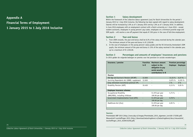**Appendix A Financial Terms of Employment 1 January 2015 to 1 July 2016 inclusive**

## Section 1 Salary development

Within the framework of the collective labour agreement (cao) for Dutch Universities for the period 1 January 2015 to 1 July 2016 inclusive, the following has been agreed with regard to salary development: Salaries will be increased by 2.0% as of 1 January 2015 and by 1.0% as of 1 January 2016. In addition, in June 2016 employees with an employment contract with a Dutch university on 1 June 2016 – except student assistants, employees in young persons' pay scales, employees on a minimum juvenile wage and SOM pupils – will receive a one-off payment that equals  $\in$  350 gross in the case of full-time employment.

## **Section 2 Year-end bonus**

- 1. From 2009 onwards, the year-end bonus shall be 8.3% of the salary received during the calendar year. The minimum amount of the year-end bonus is  $\epsilon$  2.250.00.
- 2. In the case of employees on the young persons' salary grades and the VU University Amsterdam's SOM pupils, the minimum amount of the year-end bonus is 15% of the salary received in the calendar year, up to a maximum of  $\in$  2,250.00.

## **Section 3 Percentages and amounts of employees' insurances and pensions** In 2015 gelden de volgende bedragen en premies voor het pensioen en sociale verzekeringen:

| Insurance / pension                                       | Franchise<br>in $\epsilon$ | Maximum amount<br>subject to the<br>obligation to pay<br>social security<br>contributions in $\epsilon$ | Premium percentage<br><b>Employer Employee</b> |           |
|-----------------------------------------------------------|----------------------------|---------------------------------------------------------------------------------------------------------|------------------------------------------------|-----------|
| <b>Pension</b>                                            |                            |                                                                                                         |                                                |           |
| Old Age and Survivor's Pension (OP/NP)                    | 12.650                     | $\overline{\phantom{a}}$                                                                                | 13,33%                                         | 6,27%     |
| Surviving Dependants Act (ANW), supplement                | 12.650                     | $\overline{\phantom{a}}$                                                                                | $0.075 \%$                                     | 0,225%    |
| Early retirement transitional premium VPL                 | $\overline{\phantom{a}}$   | $\overline{\phantom{0}}$                                                                                | $3\%$                                          | $0\%$     |
| Disability Pension (AOP)                                  | 19.450                     | $\qquad \qquad \blacksquare$                                                                            | 0,15%                                          | $0.05 \%$ |
| <b>Employee insurance schemes</b>                         |                            |                                                                                                         |                                                |           |
| Occupational Disability<br>(WAO/WIA), including childcare |                            | 51.976 per year<br>199.90 per day                                                                       | 5.75%                                          |           |
| Government Implementation Fund (UFO)                      |                            | 51.976 per year<br>199.90 per day                                                                       | 0.78%                                          |           |
| Healthcare Act (Zvw)                                      |                            | 51.976 per year<br>199.90 per day                                                                       | 6.95%                                          |           |
|                                                           |                            |                                                                                                         |                                                |           |

## **Sources:**

Premietabel ABP 2015 (http://www.abp.nl/images/Premietabel\_2015\_algemeen\_tcm160-173200.pdf) Nieuwsbrief Loonheffingen 2015 (http://download.belastingdienst.nl/belastingdienst/docs/nieuwsbrief\_ loonheffingen\_2015\_lh2091t52fd.pdf)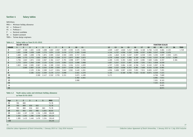## **Section 4 Salary tables**

#### Definitions

- MVU = Minimum holiday allowance
- H2 = Professor 2
- $H1 = Professor 1$
- $P = Doctoral candidate$
- SA = Student assistant
- TOIO = Trainee design engineers

**Table 4.1 Salary table as from 01-01-2015**

|                |       | <b>SALARY SCALES</b> |       |       |       |       |             |       |       |       |             |                 |       |       |       |       |       |       |                | <b>FUNCTION SCALES</b> |       |           |       |
|----------------|-------|----------------------|-------|-------|-------|-------|-------------|-------|-------|-------|-------------|-----------------|-------|-------|-------|-------|-------|-------|----------------|------------------------|-------|-----------|-------|
| <b>GRADE</b>   |       |                      |       | 4     | 5     |       |             | 8     | 9     | 10    | 11          | 12 <sup>2</sup> | 13    | 14    | 15    | 16    | 17    | 18    | H <sub>2</sub> | H1                     |       | <b>SA</b> | TOIO  |
| 0              | 1.537 | 1.568                | 1.601 | 1.638 | 1.698 | 1.822 | 2.067       | 2.359 | 2.593 | 2.476 | 3.324       | 4.029           | 4.607 | 4.840 | 5.247 | 5.684 | 6.160 | 6.766 | 5.103          | 5.684                  | 2.125 |           | 1.749 |
|                | 1.601 | 1.638                | 1.638 | 1.669 | 1.773 | 1.874 | 2.125       | 2.476 | 2.717 | 2.593 | 3.449       | 4.144           | 4.727 | 4.956 | 5.393 | 5.838 | 6.357 | 6.981 | 5.247          | 5.838                  | 2.476 |           |       |
| $\overline{2}$ | 1.669 | 1.698                | 1.698 | 1.736 | 1.874 | 2.005 | 2.242       | 2.593 | 2.855 | 2.717 | 3.561       | 4.261           | 4.840 | 5.103 | 5.537 | 5.997 | 6.559 | 7.201 | 5.393          | 5.997                  | 2.593 | 1.874     |       |
| 3              | 1.698 | 1.773                | 1.773 | 1.822 | 2.005 | 2.125 | 2.359       | 2.717 | 2.977 | 2.855 | 3.673       | 4.379           | 4.956 | 5.247 | 5.684 | 6.160 | 6.766 | 7.431 | 5.537          | 6.160                  | 2.717 | 2.005     |       |
|                | 1.736 | 1.822                | 1.874 | 1.940 | 2.067 | 2.184 | 2.417       | 2.791 | 3.098 |       | 2.977 3.783 | 4.490           | 5.103 | 5.393 | 5.838 | 6.357 | 6.981 | 7.669 | 5.684          | 6.357                  |       | 2.184     |       |
| 5.             | 1.773 | 1.874                | 1.940 | 2.005 | 2.125 | 2.242 | 2.476       | 2.855 | 3.213 |       | 3.098 3.908 | 4.607           | 5.247 | 5.537 | 5.997 | 6.559 | 7.201 | 7.911 | 5.838          | 6.559                  |       |           |       |
|                | 1.822 | 1.940                | 2.005 | 2.067 | 2.184 | 2.300 | 2.532       | 2.914 | 3.324 | 3.213 | 4.029       | 4.727           | 5.393 | 5.684 | 6.160 | 6.766 | 7.431 | 8.163 | 5.997          | 6.766                  |       |           |       |
|                |       | 2.005                | 2.067 | 2.125 | 2.242 | 2.359 | 2.593       | 2.977 | 3.449 |       | 3.324 4.144 | 4.840           | 5.537 | 5.838 | 6.357 | 6.981 | 7.669 | 8.424 | 6.160          | 6.981                  |       |           |       |
| 8              |       |                      | 2.125 | 2.184 | 2.300 | 2.417 | 2.654       | 3.042 | 3.561 | 3.449 | 4.261       | 4.956           | 5.608 | 5.997 | 6.559 | 7.201 | 7.911 | 8.693 | 6.357          | 7.201                  |       |           |       |
| 9              |       |                      | 2.184 | 2.242 | 2.359 | 2.476 | 2.717       | 3.098 |       |       | 3.561 4.379 | 5.103           |       | 6.160 | 6.766 | 7.431 | 8.163 | 8.971 | 6.559          | 7.431                  |       |           |       |
| 10             |       |                      |       | 2.300 | 2.417 |       | 2.532 2.791 | 3.151 |       |       | 3.673 4.490 | 5.171           |       |       |       |       |       |       |                | 6.766 7.669            |       |           |       |
| 11             |       |                      |       |       |       |       |             |       |       |       | 3.783 4.551 |                 |       |       |       |       |       |       | 6.981          | 7.911                  |       |           |       |
| 12             |       |                      |       |       |       |       |             |       |       | 3.908 |             |                 |       |       |       |       |       |       | 7.201          | 8.163                  |       |           |       |
| 13             |       |                      |       |       |       |       |             |       |       |       |             |                 |       |       |       |       |       |       |                | 7.431 8.424            |       |           |       |
| 14             |       |                      |       |       |       |       |             |       |       |       |             |                 |       |       |       |       |       |       |                | 8.693                  |       |           |       |
| 15             |       |                      |       |       |       |       |             |       |       |       |             |                 |       |       |       |       |       |       |                | 8.971                  |       |           |       |

## **Table 4.2 Youth salary scales and minimum holiday allowance as from 01-01-2015**

| Age | 1     | $\mathbf{2}$ | 3     | 4     | 5     | <b>MVU</b> |
|-----|-------|--------------|-------|-------|-------|------------|
| 15  | 783   | 800          |       |       |       | 75,78      |
| 16  | 783   | 800          | 816   | 832   |       | 75,78      |
| 17  | 783   | 800          | 816   | 832   | 863   | 75,78      |
| 18  | 931   | 954          | 972   | 996   | 1.031 | 90,93      |
| 19  | 1.083 | 1.107        | 1.130 | 1.156 | 1.200 | 106,09     |
| 20  | 1.234 | 1.261        | 1.286 | 1.316 | 1.365 | 121,24     |
| 21  | 1.385 | 1.415        | 1.446 | 1.476 | 1.534 | 136,40     |
| >22 |       |              |       |       |       | 151,55     |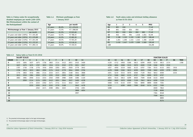**Table 4.3 Salary scales for occupationally disabled employees per month (100-120% Wet Minimumloon) within the context of**  the Participatiewet<sup>1</sup>

| Minimumwage as from 1 January 2015 |            |  |  |  |  |  |  |  |  |
|------------------------------------|------------|--|--|--|--|--|--|--|--|
|                                    | per month  |  |  |  |  |  |  |  |  |
| 23 years and older (100%)          | € 1.501,80 |  |  |  |  |  |  |  |  |
| 23 years and older (105%)          | € 1.576,89 |  |  |  |  |  |  |  |  |
| 23 years and older (110%)          | € 1.651,98 |  |  |  |  |  |  |  |  |
| 23 years and older (115%)          | € 1.727,07 |  |  |  |  |  |  |  |  |
| 23 years and older (120%)          | € 1.802,16 |  |  |  |  |  |  |  |  |
|                                    |            |  |  |  |  |  |  |  |  |

## **Table 4.4 Minimum youthwages as from 1 January 20152**

| Aqe      |       | per month  |
|----------|-------|------------|
| 22 years | 85,0% | € 1.276,55 |
| 21 years | 72,5% | € 1.088,80 |
| 20 years | 61,5% | € 923,60   |
| 19 years | 52,5% | € 788,45   |
| 18 years | 45,5% | € 683,30   |
| 17 years | 39,5% | € 593,20   |
| 16 years | 34,5% | € 518,10   |
| 15 years | 30,0% | € 450,55   |
|          |       |            |

## **Table 4.6 Youth salary scales and minimum holiday allowance as from 01-01-2016**

| Age | 1     | $\overline{2}$ | 3     | 4     | 5     | MVU    |  |
|-----|-------|----------------|-------|-------|-------|--------|--|
| 15  | 801   | 818            |       |       |       | 77.49  |  |
| 16  | 801   | 818            | 834   | 850   |       | 77.49  |  |
| 17  | 801   | 818            | 834   | 850   | 883   | 77,49  |  |
| 18  | 952   | 976            | 994   | 1.018 | 1.054 | 92.99  |  |
| 19  | 1.108 | 1.132          | 1.155 | 1.182 | 1.227 | 108,48 |  |
| 20  | 1.261 | 1.290          | 1.315 | 1.345 | 1.396 | 123,99 |  |
| 21  | 1.416 | 1.447          | 1.479 | 1.509 | 1.569 | 139,48 |  |
| >22 |       |                |       |       |       | 154,98 |  |
|     |       |                |       |       |       |        |  |

## **Table 4.5 Salary table as from 01-01-2016**

| $\frac{1}{2}$  |      | $3a \tan y$ table as from $01 - 01 - 2010$ |      |      |      |      |      |      |      |      |           |      |      |      |      |      |      |      |                |                        |      |           |      |
|----------------|------|--------------------------------------------|------|------|------|------|------|------|------|------|-----------|------|------|------|------|------|------|------|----------------|------------------------|------|-----------|------|
|                |      | <b>SALARY SCALES</b>                       |      |      |      |      |      |      |      |      |           |      |      |      |      |      |      |      |                | <b>FUNCTION SCALES</b> |      |           |      |
| <b>GRADE</b>   |      | 2                                          |      | 4    | 5.   | 6.   |      | 8    | 9    | 10   | 11        | 12   | 13   | 14   | 15   | 16   | 17   | 18   | H <sub>2</sub> | H1                     |      | <b>SA</b> | TOIO |
| 0              | 1572 | 1604                                       | 1637 | 1675 | 1736 | 1863 | 2114 | 2412 | 2651 | 2532 | 3400      | 4120 | 4712 | 4950 | 5366 | 5813 | 6299 | 6920 | 5219           | 5813                   | 2174 |           | 1789 |
| $\mathbf{1}$   | 1637 | 1675                                       | 1675 | 1707 | 1813 | 1916 | 2174 | 2532 | 2779 | 2651 | 3527      | 4238 | 4834 | 5068 | 5515 | 5970 | 6500 | 7139 | 5366           | 5970                   | 2532 |           |      |
|                | 1707 | 1736                                       | 1736 | 1776 | 1916 | 2050 | 2293 | 2651 | 2920 | 2779 | 3642      | 4357 | 4950 | 5219 | 5662 | 6133 | 6707 | 7364 | 5515           | 6133                   | 2651 | 1916      |      |
| 3              | 1736 | 1813                                       | 1813 | 1863 | 2050 | 2174 | 2412 | 2779 | 3044 | 2920 | 3756      | 4478 | 5068 | 5366 | 5813 | 6299 | 6920 | 7599 | 5662           | 6299                   | 2779 | 2050      |      |
| 4              | 1776 | 1863                                       | 1916 | 1984 | 2114 | 2233 | 2471 | 2854 | 3168 | 3044 | 3868      | 4591 | 5219 | 5515 | 5970 | 6500 | 7139 | 7843 | 5813           | 6500                   |      | 2233      |      |
|                | 1813 | 1916                                       | 1984 | 2050 | 2174 | 2293 | 2532 | 2920 | 3286 | 3168 | 3997      | 4712 | 5366 | 5662 | 6133 | 6707 | 7364 | 8090 | 5970           | 6707                   |      |           |      |
| O              | 1863 | 1984                                       | 2050 | 2114 | 2233 | 2352 | 2590 | 2980 | 3400 | 3286 | 4120      | 4834 | 5515 | 5813 | 6299 | 6920 | 7599 | 8348 | 6133           | 6920                   |      |           |      |
| $\overline{7}$ |      | 2050                                       | 2114 | 2174 | 2293 | 2412 | 2651 | 3044 | 3527 | 3400 | 4238      | 4950 | 5662 | 5970 | 6500 | 7139 | 7843 | 8614 | 6299           | 7139                   |      |           |      |
| 8              |      |                                            | 2174 | 2233 | 2352 | 2471 | 2714 | 3111 | 3642 | 3527 | 4357      | 5068 | 5735 | 6133 | 6707 | 7364 | 8090 | 8890 | 6500           | 7364                   |      |           |      |
| 9              |      |                                            | 2233 | 2293 | 2412 | 2532 | 2779 | 3168 |      |      | 3642 4478 | 5219 |      | 6299 | 6920 | 7599 | 8348 | 9174 | 6707           | 7599                   |      |           |      |
| 10             |      |                                            |      | 2352 | 2471 | 2590 | 2854 | 3222 |      | 3756 | 4591      | 5288 |      |      |      |      |      |      | 6920           | 7843                   |      |           |      |
| 11             |      |                                            |      |      |      |      |      |      |      | 3868 | 4654      |      |      |      |      |      |      |      | 7139           | 8090                   |      |           |      |
| 12             |      |                                            |      |      |      |      |      |      |      | 3997 |           |      |      |      |      |      |      |      | 7364           | 8348                   |      |           |      |
| 13             |      |                                            |      |      |      |      |      |      |      |      |           |      |      |      |      |      |      |      | 7599           | 8614                   |      |           |      |
| 14             |      |                                            |      |      |      |      |      |      |      |      |           |      |      |      |      |      |      |      |                | 8890                   |      |           |      |
| 15             |      |                                            |      |      |      |      |      |      |      |      |           |      |      |      |      |      |      |      |                | 9174                   |      |           |      |

1) The presented minimumwages adjust to the legal minimumwages.

2) The presented minimumwages adjust to the legal minimumwages.

*Collective Labour Agreement of Dutch Universities, 1 January 2015 to 1 July 2016 inclusive*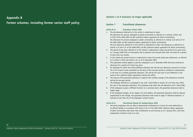## **Appendix B**

**Former schemes, including former senior staff policy**

## **Sections 1 to 6 inclusive: no longer applicable**

## **Section 7 Transitional allowances**

### **Article B.13 Guarantee scheme 2005**

1. The old allowance referred to in this article is understood to mean: the allowance for persons employed at special universities as referred to in articles 3.25(4) and 3.27(2) of the 2004-2005 cao-NU (collective labour agreement for Dutch universities); the allowance for persons employed at public universities as referred to in articles 3.25 and 3.27 of the 2004-2005 cao-NU (collective labour agreement for Dutch universities). The new allowance referred to in this article is understood to mean: the allowance as referred to in

2. The period of two years referred to in this article is understood to mean the period of two years prior to 1 January 2006 with no interruption due to absence from the job other than sick leave for a period of more than two months.

articles 3.25 and 3.27 of the 2006-2007 cao-NU (collective labour agreement for Dutch universities).

- 3. In this article the annual income is understood to mean the annual salary plus allowances, as referred to in article 3.13(2) and article 3.16, as at 31 December 2005.
- 4. This guarantee scheme applies to persons employed as at 31 December 2005 who have received an allowance for a period of at least two years.
- 5. An employee for whom the annual difference between the old and new allowance amounts to at least 3% of his annual income calculated on the basis of the two-year period is entitled to compensation in the form of a monthly guarantee allowance. This will be the case only if such difference is the result of this collective labour agreement coming into effect.
- 6. The amount of the guarantee allowance is equal to the monthly average of the allowances received during the two-year period.
- 7. The employee referred to in paragraph 5 has until 1 April 2006 to choose, for one time only, either the new or the guarantee allowance. This employee shall retain the old allowance until 1 April 2006.
- 8. If the employee accepts a different function on a voluntary basis, the guarantee allowance shall no longer apply.
- 9. If the employee changes, at his request, his work pattern, the guarantee allowance shall be reduced proportional to the change. The guarantee allowance shall cease to apply if, following reduction, it amounts to less than 3% of the employee's annual income.

#### **Article B.14 Transitional Scheme for Holiday Bonus 2005**

1. University employees who are able to demonstrate entitlement to a bonus for work performed on an official holiday in accordance with Article 3.30.1 of the 2004-2005 collective labour agreement of Dutch Universities shall retain their entitlement to such bonuses as of 1 January 2011 until their employment contracts come to an end.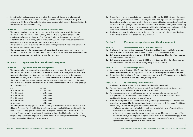2. In addition to the allowance referred to in Article 3.25 paragraph 2 under b, this bonus shall comprise the same number of substitute leave days as there are official holidays in that year as referred to in Article 4.9 of the collective labour agreement (cao), to the extent that such holidays do not coincide with a Saturday or a Sunday.

## **Article B.15 Guaranteed allowance for work at unsociable hours**

- 1. The employee to whom a salary scale of lower than scale 8 applies and of which the allowance, as a result of the amendment as from 1 January 2008 of Article 3.25, second paragraph under c (adjustment of normal working day) of the 2007-2010 collective labour agreement (cao) of Dutch Universities, is permanently reduced by at least  $\epsilon$  300 gross on an annual basis shall retain entitlement to a permanent 100% allowance after 1 March 2010.
- 2. This guaranteed allowance is granted with due regard for the provisions of Article 3.26, paragraph 4 of the collective labour agreement (cao).
- 3. The employer may, with the employee's consent, opt to buy off this permanent allowance as of 1 January 2011 for an amount that equals 50% of the original allowance over the remaining term of the employment contract, during a period of no more than ten years.

## **Section 8 Age-related hours transitional arrangement**

## **Article B.16 Age-related hours transitional provision**

1. The employee who is 30 years or older, was employed at a special university on 31 December 2012 and who, by virtue of his age, was entitled to an additional number of holiday hours will retain this number of holiday hours until 1 January 2018 provided the employee remains in the employment of the same university from 31 December 2012 without an interruption of more than six months. The number of additional holiday hours per calendar year is determined in proportion to the agreed number of working hours in accordance with the table below and is dependent on the employee's age at 31 December 2012.

| Increase          |
|-------------------|
| 8 holiday hours   |
| 16 holiday hours  |
| 24 holiday hours  |
| 32 holiday hours  |
| 40 holiday hours  |
| 48 holiday hours. |
|                   |

2. The employee who was employed at a special university on 31 December 2012 and who was 18 years old on 31 December 2012 is entitled to 16 additional holiday hours in 2013 and 8 additional holiday hours in 2014. The employee who was employed at a special university on 31 December 2012 and who was 19 years old on 31 December 2012 is entitled to 8 additional holiday hours in 2013. The foregoing only applies if the employee in question remains in the employment of the same university without interruptions following 31 December 2012.

- 3. The employee who was employed at a public university on 31 December 2012 will retain the number of additional age-related hours accrued in 2012 by virtue of a local regulation until 2018 provided the employee remains in the employment of the same employer without an interruption of more than six months. For the – younger – employee who is awarded fewer additional holiday hours on reaching the next age limit under the old local regulation, the old local regulation remains applicable until the additional number of holiday hours has been reduced to zero under the local regulation.
- 4. Employees who entered employment after 31 December 2012 are not entitled to the additional agerelated hours as referred to in paragraphs 1 to 3, inclusive.

## **Section 9 Life-course savings scheme transitional arrangement**

## **Article B.17 Life-course savings scheme transitional provision**

- 1. The taking of life-course savings leave under Articles B.18 and B.19 is only possible for employees who have a savings balance at a life-course savings institution on 31 December 2011.
- 2. In the case of a savings balance of less than  $\epsilon$  3,000 as at 31 December 2011, the balance must be withdrawn before 1 January 2014.
- 3. In the case of a savings balance of at least € 3,000 as at 31 December 2011, the balance must be withdrawn before 1 January 2022 and the employee may continue to deposit.

## **Article B.18 Life-course savings scheme**

- 1. An employee who wishes to use his life course balance is entitled to use leave days for this, insofar as this is in accordance with tax regulations and the life course savings scheme of the institution.
- 2. The employer shall stipulate a life course savings scheme on the basis of frameworks as referred to in Article B.19, in consultation with local employees' organisations.

## **Article B.19 Life-course saving scheme frameworks**

- 1. The life-course scheme forms an integral part of the individual choices model.
- 2. Agreements are made with local employees' organisations about the integration of the long-term saving variant and the life-course scheme in the local regulation.
- 3. An employee can make use of a life course leave as from one year after his commencement of employment. This leave must be applied for four months in advance. A shorter term can be established in the case of care leave or parental leave.
- 4. When the employee takes up life-course leave, the agreements governing the pensionability of lifecourse leave as approved by the Pensions Supervisory Authority on 8 March 2006 apply. In addition, the following has been further agreed for the university sector:
	- existing agreements about pension build up and social security in the case of sabbatical leave, parental leave and care leave shall remain in force;
	- in the case of life-course leave for reasons other than those specified above, the regular division between the employer and employee as regards pension premium contributions shall apply as from 1 January 2006 (or as from the date on which employment commences afterwards) once every eight calendar years for a period of at most nine months.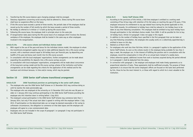- 5. Transferring the life-course balance upon changing employer shall be arranged.
- 6. Statutory regulations concerning social security shall be adhered to. Illness during life-course leave shall have no suspensive effect on the leave.
- 7. If the life-course leave exceeds a period of three months, the periodic date of the employee shall be moved up by the number of full months by which the leave exceeds a period of three months.
- 8. No holiday as referred to in Article 4.7 is built up during life-course leave.
- 9. Following life-course leave, the employee shall in principle return to the same job.
- 10. If reorganisation takes place during the life-course leave of an employee which involves the (former) workplace of the employee, the employee shall be treated in the same way as other employees involved in the reorganisation.

## **Article B.19a Life-course scheme and individual choices model**

- 1. With regard to the use of the year-end bonus for the individual choices model, the employee to whom the transitional arrangement applies may opt to make additional deposits into a life-course savings account, with a maximum amount equal to 38 holiday hours per financial year, by depositing one twelfth of his year-end bonus each month into his life-course account.
- 2. In consultation with the local employees' organisations, further arrangements can be made about expanding the possibilities for deposits into a life-course savings account.
- 3. In consultation with local employees' organisations, arrangements will be made about concurrence of the long-term savings model and the life-course savings scheme of the institution and further arrangements can be made regarding the criteria for the application of this method and for the maximum and minimum bonuses, in time and/or money, which may be granted.

## **Section 10 2006 Senior staff scheme transitional arrangement**

## **Article B.20 2006 Transitional provision on participating in the senior staff scheme**

- 1. The employee who uses the 2006 Senior Staff Scheme on 31 December 2012 may continue doing so until he reaches the state pensionable age.
- 2. The employee who was employed at the university on 31 December 2012 and who was 58 years or older on 1 January 2013 may continue participating in the 2006 Senior Staff Scheme providing the employee sets this intention down in writing before 1 July 2013.
- 3. The employee's actual participation in the 2006 Senior Staff Scheme may commence later than 1 January 2014, but only if the actual start date is agreed in writing with the employer before 1 July 2013. If participation on the determined date can no longer be deemed reasonable or fair owing to unforeseen circumstances, the obligation to commence on that date lapses and the employer and employee will agree to a new commencement date.
- 4. Employees who are not included in the scope of paragraph 1 or paragraph 2 may not participate in the 2006 Senior Staff Scheme.

## **Article B.21 Senior Staff Scheme 2006**

- 1. According to the provisions of this Article, a full-time employee is entitled to a working week consisting of four 8-hour days with retention of his full salary on reaching the age of 59 years, if the employee renounces his entitlement to any age related hours during the period applicable to him. From 2009 onwards, his entitlement to holiday hours shall be reduced to 144 holiday hours to be taken at any time following consultation. This employee shall be entitled to buy back holiday hours through participation in the individual choices model. From 2009, it will be possible for him to buy 16 holiday hours. Article 5.9 paragraph 3 does not apply in this regard.
- 2. In addition to the number of holiday hours specified in the first paragraph that can be taken at any time following consultation, the employee who usually works on a collectively appointed day is entitled to leave on this day.
- 3. Deleted as at March 2010.
- 4. For employees who work less than full-time, Article 1.4, paragraph 5 applies to the application of the Senior Staff Scheme. As soon as the scheme results in the employee being available for less than 3 days a week, the employer can, in the interest of fulfilling the position and in consultation with the employee, record the compensation in time off on an annual basis instead of a weekly basis.
- 5. Unless otherwise agreed, additional income from work or business acquired during the period referred to in paragraph 1 shall be deducted from the salary.
- 6. In connection with paragraph 1, the employer and employee shall make timely agreements as to proportional reduction of tasks. These agreements shall be reaffirmed annually. The purpose of these agreements is to ensure that the senior employee's efforts are focused on the tasks best performed by him, those he has the most interest in, or those with regard to which he is most valuable to the institution.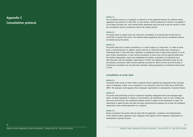## **Appendix C Consultation protocol**

#### **Article C.1**

The consultation protocol is a regulation as referred to in the agreement between the collective labour agreement (cao) parties of 14 May 1997, in which parties, with due observance of Article 4.5 paragraph 5 of the Higher Education Act, have reached further agreements about the level at and the manner in which the consultations shall be conducted as well as the contents thereof.

### **Article C.2**

The parties agree to conduct open and constructive consultation at university-level and the level of universities in general (the sector). The collective labour agreement (cao) and the consultation protocol are deemed law by the parties.

## **Article C.3**

The parties shall aim to conduct consultation on a certain subject at a single level, i.e. either at sector level or institutional level. In addition, parties shall aim to clarify the locality when consulting on institutional level. In the event that a regulation on employment terms or legal status requires or can be given further substantiation, it shall, during consultation on sector level, also be explicitly determined how further substantiation needs to be established and whether consultation at institutional level shall take place with the employees' organisations or within the employee participation body. As such, the statutory consultation rights shall be explicitly accounted for. When at sector level the locality of institutional consultation has not (yet) been indicated, existing agreements on institutional level remain in force.

## **Consultation at sector level**

#### **Article C.4**

The parties shall consult on other matters of general interest regarding the employment terms and legal status of employees, insofar as the consultation is not reserved to Council for Public Sector Staff Policy (ROP). The employers shall regularly inform employees' organisations on developments of general interest.

## **Article C.5**

The parties shall particularly consult on regulations regarding employment terms and employees legal status, including regulations in relation to: remuneration, job classification, hours of work, holidays and leave and social security. The consultation between parties is subject to the requirement to agree. The requirement to agree has been met when the party representing the employer and at least two employees' organisations have reached agreements on a proposal.

## **Article C.6**

During consultation the parties shall also deal with the application, compliance and implementation of the collective labour agreement (cao). Employers shall regularly inform employees' organisations on developments of general interest.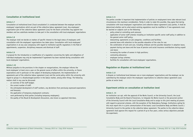## **Consultation at institutional level**

## **Article C.7**

Consultation at institutional level ('local consultation') is conducted between the employer and the employees' organisations which are part of the collective labour agreement (cao). Any employees' organisation part of the collective labour agreement (cao) for the Dutch universities may appoint two members and two substitute members to take part in the consultation with local employees' organisations

## **Article C.8**

The employer shall not decide on matters of specific interest to the legal status of employees until consultation with the employees' organisations has taken place. Consultation with local employees' organisations is at any case compulsory with regard to institution-specific regulations in the field of appointments, suspension, disciplinary measures and dismissal of staff.

## **Article C.9**

A proposal for the introduction or modification of a regulation concerning the rights and obligations of individual employees may only be implemented if agreement has been reached during consultation with local employees' organisations.

## **Article C.10**

Without prejudice to the provisions in the chapter on reorganisations, the employer informs the local employees' at least once a year on the general course of affairs within the university, on future expectations and in particular on the subject of developing employment, the implementation of agreements part of the collective labour agreement (cao) and the social policy within the university with regard to groups in a disadvantaged position in the labour market, among other things. The following matters shall in any case be discussed:

- an overview of the staff budget;
- the current number of staff:
- the anticipated development of staff numbers, any deviations from previously expressed expectations and forecasts;
- the application of temporary employment contracts;
- work performed by third parties (including temporary employees):
- the quality of the Result & Development discussions, also known as appraisal interviews.

## **Article C.11**

The parties consider it important that implementation of policies on employment terms take relevant local circumstances into maximum consideration. Partly in order to make this possible, they agree that during consultation with local employees' organisations and collective labour agreement (cao) parties, it shall be determined whether and to what extent existing regulations must be modified or if new agreements must be reached on subjects such as the following:

- policy aimed at controlling work pressure;
- application of senior staff schemes including an institution-specific senior staff policy in addition to the general senior staff policy;
- teleworking: agreements on job categories, conditions and facilities;
- parental leave with attention to the possible relaxation of the rules for use;
- the combination of work and care, including childcare and the possible relaxation in adoption leave, payment during care leave and the issue of pension and social insurance contributions during unpaid care leave;
- increasing the number of women in high positions;
- commuting allowance;
- employee savings schemes:
- facilities for consultation with local employees' organisations.

## **Regulation on disputes at institutional level**

## **Article C.12**

A dispute on institutional level between one or more employees' organisations and the employer can be submitted by the employer and/or the employees' organisations to collective labour agreement (cao) parties at sector level.

## **Experiment article on consultation at institution level**

## **Article C. 13**

An institution can opt, with the approval of the Works Council, or the University Council, the Local Consultative Body and the Board of Governors, to integrate the Works Council or the personnel section of the University Council with the Local Consultative Body and to assign to this joint meeting all powers with regard to personnel schemes, with the exception of the Redundancy Package. Institutions opting for this must report this in a joint communication of the board, Local Consultative Body and Works Council / University Council to the parties to the collective labour agreement. The parties to the collective labour agreement shall approve this request for a period of up to four years, unless serious objections preclude the experiment.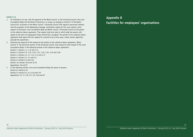## **Article C.14**

- 1. An institution can opt, with the approval of the Works Council, or the University Council, the Local Consultative Body and the Board of Governors, to assign, by analogy to Article 27 of the Works Council Act, all powers to the Works Council / University Council with regard to personnel schemes, with the exception of the Redundancy Package. Institutions opting for this must submit a joint request of the board, Local Consultative Body and Works Council / University Council to the parties to the collective labour agreement. That request shall also state to which body the powers with regard to the terms of employment funds (article E6) is assigned. The parties to the collective labour agreement shall agree with this request for a period of up to four years, unless serious objections preclude the experiment.
- 2. Following the approval of the request by the parties to the collective labour agreement, 'Works Council' or 'the personnel section of the University Council' must always be read instead of 'the Local Consultative Body' in the following articles of the collective labour agreement: Section 1: articles 1.4, 1.12 and 1.14 Section 3: articles 3.9, 3.19, 3.20, 3.21, 3.22, 3.24, 3.25 and 3.28 Section 4: articles 4.2, 4.7, 4.9, 4.11 and 4.17 Section 5: articles 5.3, 5.4 and 5.6 Section 6: articles 6.3 and 6.5a Section 10: articles 10.8 and 10.10 Appendixes: C8 and C9 3. In the following articles, the Local Consultative Body will retain its powers:
- Section 8: articles 8.14 Section 9: articles 9.2, 9.3, 9.8 and 9.10 Appendices: C3, C7, C10, C11, D1, E1d and H2

## **Appendix D Facilities for employees' organisations**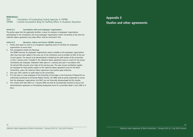## **Definitions:**

: Foundation of Cooperating Central Agencies in COPWO COPWO : Central Consultative Body for Staffing Affairs in Academic Education

## **Article D.1 Consultation with local employees' organisations**

The parties agree that the applicable facilities in place for members of employees' organisations participating in the consultation with local employees' organisations within universities at the time this collective labour agreement (cao) takes effect, shall be continued in full.

## **Article D.2 Education, Culture and Science (OC&W) resources**

- 1. Parties shall agree to come to an arrangement regarding means for facilities for employees' organisations at sector level;
- 2. This arrangement entails the following:

 The OC&W resources for employees' organisations remain available to the employees' organisations after they have been added to the lump sum of the institutions and are divided via SSCC at the end of each quarter. The amount to be decentralised is divided by the staff number of the universities as from 1 January and is included in the collective labour agreement (cao) as a basis for the annual contribution per employee. Indexation takes place on 1 January each year in accordance with the derived CBS consumer price index of the previous year. The same annual contribution applies per employee for those parties subject to the collective labour agreement (cao) for the Dutch Universities, unless the collective labour agreement (cao) parties agree otherwise.

- 3. Each year, SSCC submits an audit report to the universities.
- 4. If in the years to come employees of the University of Groningen or the University of Maastricht are collectively transferred to University Medical Centres, the VSNU shall be partly responsible to ensure that the employees' organisations (via SSCC) are not financially disadvantaged by this transfer.
- 5. This scheme shall take effect on 1 January 2006 and shall be automatically renewed as long as the decentralisation agreement on formulating employment terms for universities dated 1 June 1999 is in force.

## **Appendix E Studies and other agreements**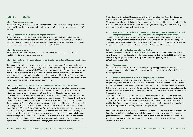## **Section 1 Studies**

## **E.1a Modernisation of the cao**

The parties have agreed to carry out a study during the term of this cao to examine ways of modernising it, and consider whether agreements can be made that better reflect the actual working situation of WP and OBP.

## **E.1b Simplifying the cao rules surrounding reorganisation**

The parties have noted that the employer and employee participation bodies regularly debate the definition of terms like 'reorganisation' and 'far-reaching consequences on legal status'. Consequently, efforts will be made to determine whether the regulations surrounding reorganisations can be simplified, taking account of case law with respect to the Works Council Act (WOR).

#### **E.1c Internationalisation**

The parties will jointly examine the inclusion of an international section in the cao, including the possibility of a European pension for researchers.

## **E.1d Study and evaluation concerning agreement to reduce percentage of temporary employment contracts**

The employers shall take suitable policy measures to reduce the percentage of temporary employment contracts of four years or less in the job categories professor, senior university lecturer, university lecturer and lecturer within the sector to 22% in FTEs. As local circumstances may differ widely in connection with student numbers, educational philosophy, volume of research, policy regarding tenure track and similar matters, the present situation with regard to this subject is determined in the Local Consultative Body and progress is reported annually. The results and effectiveness of this agreement will be evaluated by the parties to the collective labour agreement at the end of 2016.

## **E.1e Study concerning measures for 'from-job-to-job' guidance and transition payment**

The parties to the collective labour agreement have agreed to perform a study of all measures concerning 'from-job-to-job' guidance, including the transition payment. In June 2015, the parties to the CLA determined that the study would require more time and that it could not be completed before the transition payment, as referred to in Sections 7:673 and 7:673a of the Dutch Civil Code, takes effect on 1 July 2015. The parties to the collective labour agreement will take account in doing so of the effective date of 1 July 2015 for the transition payment, as referred to in Article 7:673 of the Dutch Civil Code. The parties to the CLA are therefore deferring the introduction of the transition payment for all universities until 1 July 2016 by virtue, wherever possible, of Section 2 of the Transition Payment Transitional Rule Decree (Bulletin of Acts and Decrees 2015,172). The parties to the CLA determined that this means that, prior to 1 July 20116, no transition payment will be owed to staff employed by a public university or to staff of a special university who, pursuant to CLA agreements (including the Netherlands Universities Enhanced Unemployment Scheme (BWNU), are entitled to compensation or provisions as referred to in Section XXII, seventh paragraph, of the Work and Security Act. Staff of special universities who are not eligible for a BWNU benefit are entitled to transition payment. During open and realistic discussions,

the local consultative bodies of the special universities have reached agreements on the settlement of transitional and employability costs in accordance with Section 7:673 of the Dutch Civil Code. With respect to employees not eligible for BWNU through to 1 July 2016, public universities will act in the spirit of Section 6:673 and 6:673a of the Dutch Civil Code (the transition payment) by making every effort to support job-to-job guidance on behalf of such employees.

## **E.1f Study of changes in employment termination law in relation to the Unemployment Act and Unemployment Scheme of the Dutch Universities Exceeding the Statutory Minimum**

The parties to the collective labour agreement agree to perform a study of the consequences of the changes in unemployment termination law in relation to the Unemployment Act (WW) and Unemployment Scheme of the Dutch Universities Exceeding the Statutory Minimum (BWNU). On the basis of the outcome, the parties will amend the collective labour agreement by 31 December 2015 at the latest.

## **E.2 Intensification of the Systematic Personnel Policy**

Developing and utilising qualities is one of the pillars of HR policy at Dutch universities. To ensure this is done effectively and in good coordination, the parties have agreed that, starting in 2013, they will invest in intensifying the Systematic Personnel Policy (the so-called ISP approach). The parties aim to introduce ISP at the universities in 2014.

## **E.3 Vulnerable groups**

Future caos will include measures aimed at promoting employment opportunities at universities for vulnerable groups in the labour market. These measures will use the results of the UWV study 'inclusive labour organisation'.

#### **E.4 Review of participation in decision-making at Dutch universities**

Participation in decision-making at universities is divided across various consultation bodies and levels. In the past few years we have observed that the national cao is being increasingly adopted as the standard and that the need for supplementary local-level agreements is falling. Furthermore, there is sometimes a lack of clarity regarding the division of roles between the university's employee participation body and the local employees' organisations. As such, subjects may feature on the agendas of two separate bodies or on the agenda of none.

The time has arrived for us to consider whether our current forms of participation in decision-making are organised as logically as they could be and whether they serve all parties effectively. The cao parties are convinced that responding decisively and effectively to the changing circumstances demands a recalibration of the role, place, substance and working method of the university's employee participation body, or employee representative body, and the local employees' association.

Consequently, the parties to the cao have agreed to launch discussions with various other parties involved in employee participation: with input from both the employers and employees, from both employee participation bodies and trade union participation bodies, and from both the national cao roundtable and the local consultative bodies. The aim of these discussions is the arrive at a renewed positioning for employee participation.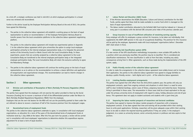As a kick-off, a strategic conference was held in mid-2011 at which employee participation in a broad sense was reviewed and reconsidered.

Further to the advice issued by the Employee Participation Advisory Board at the end of 2013, the parties have agreed the following:

- a. The parties to the collective labour agreement will establish a working group on the basis of equal representation to advise on recommendation 1 of the Employee Participation Advisory Board to transfer powers from the local consultation platforms to the collective labour agreement negotiating platform.
- b. The parties to the collective labour agreement will include two experimental options in Appendix C to the collective labour agreement which give universities the option to assign local employee participation primarily to the internal employee representation body, or to integrate the personnel section of the University Council or Works Council with the Local Consultative Body. In these experiments, powers that are currently assigned by a collective labour agreement to the Local Consultative Body are transferred to the internal employee participation body or the integrated employee participation body. The Local Consultative Body will retain the exclusive authority to agree the Redundancy Package.
- c. The parties to the collective labour agreement will continue the working group on the basis of equal representation so as to advise on the recommendation to achieve a clearer definition and application of reorganisation and organisational changes. This recommendation can lead to interim changes in the collective labour agreement.

## **Section 2 Other agreements**

## **E.5 Division and contribution of Resumption of Work (Partially Fit Persons) Regulation (WGA) premium**

The parties have agreed that the employers will not exercise the option provided to them by the Social Insurance (Funding) Act to recover a maximum of half of the differentiated premium under the Return to Work (Partially Disabled Regulations) Regulations ('WGA') from the employee.

Employers that are the own-risk bearers for the WGA will not use the possibility granted to them under the act referred to above to recover a maximum of half of the insurance premium from the employee's wages.

## **E.6 Decentralised terms of employment funds**

The parties to the collective labour agreement undertake to agree, in consultation with local employees' organisations, an allocation for a term of five years of the decentralised terms of employment funds at institution level by 1 July 2008 at the latest. After this five year term has passed, a review will be carried out in consultation with local employees' organisations to determine whether this expenditure requires adjustment for at least a term of equal duration.

## **E.7 Labour Market and Education (A&O) Funds**

- 1. If the Minister decentralises the OC&W (Education, Culture and Science) contribution for the A&O Funds, parties agree that these shall be made available to a sector fund which is managed on the basis of equal representation.
- 2. The labour market contribution allocated to the SoFokleS A&O Fund shall be indexed on 1 January of every year in accordance with the derived CBS consumer price index of the previous calendar year.

#### **E.8 Group insurance in case of insufficient utilisation of remaining earning capacity**

Every employer will offer its employees a group contract for insurance, to be taken out individually, that supplements the AAOP (ABP pension in the case of occupational disability). The premium for this insurance will be paid by the employee. Agreements made with local employees' organisations before 1 December 2007 shall remain in force.

### **E.9 University Job Classification system (UFO)**

If a new version of the UFO classification methodology incorporates a more suitable UFO profile for a position which was previously classified, the position may be re-classified. This is considered job classification maintenance. The new classification is valid as from that date, including any salary consequences arising from it. Other agreements, such as those made during the implementation of the UFO system, apply.

## **E.10 Public-friendly version of the collective labour agreement**

In order to make the arrangements in the collective labour agreement more widely known and to increase their application, the parties to the collective labour agreement have agreed to engage SoFoKles to develop a public-friendly version – both digital and in print – of the collective labour agreement.

#### **E.11 Limiting flexible employment arrangements**

The parties have agreed that with effect from the 2015/2016 academic year, the parties will only use employment contracts, apart from ongoing contracts and situations in which there is a need for extra staff to clear incidental backlogs, and/or cases of illness, pregnancy leave and maternity leave. Temporary hiring is permitted in those cases. The remuneration in those cases shall be at least equivalent to the pay under the primary university terms of employment with regard to salary, holiday allowance and end-of-year bonus. This agreement does not apply to student assistants and students with a (part-time) job.

#### **E.12 Improving the labour market prospects of researchers and doctoral candidates**

The parties have agreed to improve the labour market prospects of researchers with a temporary employment contract. It has been agreed that time and training will be provided within their working hours to write grant applications. Similarly, researchers will be given adequate scope within their working hours to be able to obtain the required teaching qualifications if they are suited, in the employer's judgement, to a career as university lecturer, senior university lecturer or professor and also aspire to that position.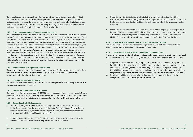The parties have agreed to improve the employment market prospects of doctoral candidates. Doctoral candidates will be given the time within their employment to obtain the required qualifications for a continued academic career, or for career counselling and obtaining qualifications leading to broader labour market prospects. In addition, they will receive training in writing research applications. Universities will work actively to provide from job-to-job quidance for doctoral candidates.

#### **E.13 Private supplementation of Unemployment Act benefits**

The parties to the collective labour agreement have agreed that the duration and accrual of Unemployment Act benefits will be compensated in accordance with the relevant agreements in the social contract of April 2013. Following the advice from the Social and Economic Council SER, "Role of social partners in future employment market infrastructure for Unemployment Act benefits and organisation of Unemployment Act benefits" ("Rol sociale partners bij toekomstige arbeidsmarktinfrastructuur bij WW en inrichting WW"), and following the advice from the Joint Industrial Labour Council (StvdA) to the social partners with regard to compensation of Unemployment Act benefits in the collective labour agreement, the parties to the collective labour agreement will, taking account of these recommendations and the letter from the StvdA of 24 December 2013, engage in consultation to reach substantive agreements on private supplementary unemployment benefits insurance to maintain the present level and duration of statutory unemployment act benefits. On the basis of the outcome, the parties will amend the collective labour agreement by 31 December 2015 at the latest.

### **E.14 Modification of local regulations at institutions**

If arrangements under the collective labour agreement require modifications of regulations at institutions, the parties can set the period within which these regulations must be modified in line with the arrangements under the collective labour agreement.

### **E.15 Provision for survivor's pension 2015**

Universities will form a non-recurring provision for the survivor's pension in 2015 to mitigate the effect of the legislation on capping of pensions.

## **E.16 Pension for income group above € 100,000**

The provision for the income group above  $\in$  100,000 and the associated release of pension contributions is being discussed in the Pensions Supervisory Authority (Pensioenkamer). The parties to the collective labour agreement will enter into consultations on this subject when the outcome of the discussion is known.

## **E.17 Occupationally disabled employees**

- a. The parties have agreed that universities will fully implement the agreements reached as part of the Participation Act within the Association of Public Sector Employers (Verbond Sectorwerkgevers Overheid) on the number of jobs to be created per year. In accordance with the Participation Act, those agreements will be in addition to the current efforts.
- b. To support universities in creating jobs for occupationally disabled jobseekers, suitable pay scales between 100 and 120% of the Minimum Wage Act are included in Appendix A.
- c. The parties have decided to jointly take the initiative to examine whether, together with the research institutes and the university medical centres, employment opportunities under the Sheltered Employment Act can be maintained and to create joint permanent jobs at the various organisations concerned.
- d. In line with the recommendations in the final report issued on this subject by the Employed Person's Insurance Administration Agency UWV and Maastricht University, efforts will be launched by 1 January 2015 at the latest to create permanent jobs for employees under the Invalidity Insurance (Young Disabled Persons) Act scheme, even if they are outside the definition of the Participation Act.

## **E.18 Utilisation of discretionary scope in the work-related costs scheme**

The employer shall ensure that the discretionary scope in the work-related costs scheme is utilised proportionally among its employees to the greatest possible extent.

## **E.19 Temporary transitional scheme for unforeseen pension shortfall**

The parties have agreed to establish a transitional scheme for a specific group of employees who are faced with an unforeseen pension shortfall. This agreement is detailed in article 22a of the BWNU and reads:

- 1. The person concerned born before 1 January 1955 who became entitled before 1 January 2014 to BWNU benefits until at least the month in which he or she reaches the age of 65 and the entitlement to which ends after the age of 65 without an ensuing entitlement to Old Age Pension under the General Old Age Pensioners Act is entitled to an allowance equivalent to the amount to which an old age pensioner living alone is entitled. This allowance will end when the state pension age is reached.
- 2. The allowance will be reduced by any income from work in accordance with the rules of the Unemployment Act and the Unemployment Act Income Decree.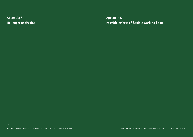**Appendix F No longer applicable** **Appendix G Possible effects of flexible working hours**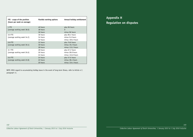| FTE - scope of the position<br>(hours per week on average) | <b>Flexible working options</b> | Annual holiday entitlement |
|------------------------------------------------------------|---------------------------------|----------------------------|
| 1 FTE                                                      | 40 hours                        | plus 96 hours              |
| (average working week 38.0)                                | 38 hours                        | $\Omega$                   |
|                                                            | 36 hours                        | minus 96 hours             |
| $0.9$ FTE                                                  | 36 hours                        | plus 86.4 hours            |
| (average working week 34.2)                                | 34 hours                        | minus 9.6 hours            |
|                                                            | 32 hours                        | minus 105.6 hours          |
| $0.8$ FTE                                                  | 32 hours                        | plus 76.8 hours            |
| (average working week 30.4)                                | 30 hours                        | minus 19.2 hours           |
|                                                            | 28 hours                        | minus 115.2 hours          |
| 0.7 FTE                                                    | 28 hours                        | plus 67.2 hours            |
| (average working week 26.6)                                | 26 hours                        | minus 28.8 hours           |
|                                                            | 24 hours                        | minus 124.8 hours          |
| $0.6$ FTE                                                  | 24 hours                        | plus 57.6 hours            |
| (average working week 22.8)                                | 22 hours                        | minus 38.4 hours           |
|                                                            | 20 hours                        | minus 134.4 hours          |

NOTE: With regard to accumulating holiday leave in the event of long-term illness, refer to Article 4.7, paragraph 11.

**Appendix H Regulation on disputes**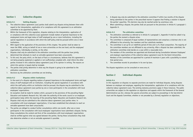## **Section 1 Collective disputes**

## **Article H.1 Settling disputes**

- 1. The collective labour agreement (cao) parties shall submit any dispute arising between them with regard to the interpretation, application of or compliance with this agreement to an arbitration committee to be appointed by them.
- 2. Within the framework of this regulation, disputes relating to the interpretation, application of or compliance with this collective (cao) agreement include matters of general importance to the employment terms and legal status of staff employed by one or more institutions, including the special regulations in accordance with which the staff policy shall be pursued within one or more institutions.
- 3. With regard to the application of the provisions of this chapter, 'the parties' shall be taken to mean the VSNU, acting on behalf of one or more universities on the one hand, and the employees' organisations, individually or jointly, on the other.
- 4. Disputes shall only be submitted to the arbitration committee until the parties have jointly determined that attempts to reach an amicable agreement have been unsuccessful.
- 5. To this end, the party which, on the basis of facts or circumstances, believes that this agreement is not being properly explained or applied or not (sufficiently) complied with, shall inform the other parties involved in this collective labour agreement (cao) of its opinion in writing. The reasons on which this opinion is based shall be included.
- 6. The parties shall jointly determine in what way the dispute is going to be submitted to the arbitration committee.
- 7. Decisions by the arbitration committee are not binding.

## **Article H.2 Disputes within institutions**

- 1. In the event of a dispute regarding matters of general importance to the employment terms and legal status of staff employed with an institution, including the special regulations in accordance with which the staff policy within an institution shall be pursued, the dispute may be submitted to the collective labour agreement (cao) parties by one or more participants in the consultation with local employees' organisations.
- 2. An exception shall be made for matters which, pursuant to the provisions of the prevailing Higher Education and Academic Research Act, fall under the authority of the works council or an employee participation body within the meaning of the prevailing Higher Education and Academic Research Act.
- 3. Disputes shall only be submitted to the collective labour agreement (cao) parties when, in consultation with local employees' organisations, it has been established that attempts to reach an amicable agreement have been unsuccessful.
- 4. The parties are obliged to conduct further consultations within one month, after one or more participants in the consultation with local employees' organisations have submitted a dispute. During these consultations the content and form of the consultations with local employees' organisations shall be verified against what was agreed between the parties. During these consultations they shall also determine whether or not an amicable agreement is possible.
- 5. A dispute may only be submitted to the arbitration committee if within two months of the dispute being submitted to the parties in the prescribed manner it appears that finding a solution is beyond the parties' capacities. This decision may also be reached earlier by unanimous vote.
- 6. When submitting a dispute, the parties shall act pursuant to the provisions in Article H.1 paragraph 1 Appendix H.

## **Article H.3 The arbitration committee**

- 1. The arbitration committee as referred to in Article H.1 paragraph 1, Appendix H shall be called in by the parties the moment a dispute arises.
- 2. The committee is composed of equal numbers of representatives and comprises a chairman who is not affiliated to the university, four members and four substitute members.
- 3. The committee is set up for an indefinite period of time and is of a fixed composition. The majority of the committee members are not affiliated to any university. After a dispute has been submitted, the arbitration committee shall decide on a case within a reasonable term.
- 4. The members of the committee are appointed and dismissed during Consultation between Employees' and employer organisations of the collective labour agreement (cao) for the Dutch Universities. Members of the committee are appointed for a period of maximum 4 years with a possibility to extend that period once.
- 5. The committee records its procedures in its own by-laws.

The dispute regulations can be consulted on www.vsnu.nl.

## **Section 2 Individual disputes**

## **Article H.4**

In this regulation on disputes no separate provisions are made for individual disputes, being disputes between an employer and employee, regarding the interpretation, application of or compliance with the collective labour agreement (cao). The existing statutory provisions apply in these instances. The public universities are subject to the regulation on objections and appeals within the framework of the General Administrative Law Act, whereas the special universities are subject to proceedings in the Sub-district Court and the Appeals Committee, whether or not preceded by a (formal) regulation on objections.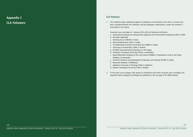**Appendix I CLA Followers** 

## **CLA Followers**

1. This collective labour agreement applies to employees and institutions with whom a covenant has been concluded between the institution and the employees' organisations, unless the covenant is terminated in the interim.

Covenants were concluded on 1 January 2015 with the following institutions:

- a. International Institute for Infrastructural Hydraulic and Environmental Engineering (IHE) in Delft
- b. No longer applicable
- c. Stichting Incas<sup>3</sup> (INCAS<sup>3</sup>) in Assen
- d. Afrika-Studiecentrum (ASC) in Leiden
- e. The Netherlands Institute for the Near East (NINO) in Leiden
- f. University for Humanistics (UVH) in Utrecht
- g. EP-Nuffic Internationalising Education in The Hague
- h. Protestant Theological University (PthU) in Amsterdam
- i. Royal Netherlands Academy of Arts and Sciences (KNAW) in Amsterdam as well as the Fryske Akademy in Leeuwarden
- j. Centre for Research and Development of Education and Training (PLATO) in Leiden
- k. Roosevelt Academy in Middelburg
- l. Apeldoorn University of Theology (TUA) in Apeldoorn
- m. Kampen Theological University (TUK) in Kampen
- 2. In the event of any changes with respect to institutions with which covenants were concluded, this appendix shall be adapted accordingly and published on the cao page of the VSNU website.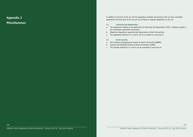**Appendix J Miscellaneous** In addition to the text of the cao and the appendices included, the parties to the cao have concluded agreements that form part of the cao and can be found in separate appendices to the cao:

### **J.1 University Job Organisation**

- a. The explanation relating to the application of University Job Organisation (UFO), including a guide to the automated organisation instrument.
- b. Objections Regulations regarding Job Organisation at Dutch Universities.
- c. The appendices referred to in a and b can be consulted on www.vsnu.nl.

## **J.2 Social security**

- a. Non Statutory Unemployment Scheme for Dutch Universities (BWNU).
- b. Sickness and Disability Scheme of Dutch Universities (ZANU).
- c. The schemes referred to in a and b can be consulted on www.vsnu.nl.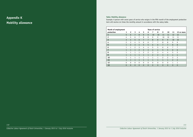## **Appendix K Mobility allowance**

## **Table: Mobility allowance**

Example: A person with seven years of service who resigns in the fifth month of the employment protection term will receive six times the monthly amount in accordance with the salary table.

| <b>Years of service</b><br>Month of employment |                |                |                |                |                |                |                |                |                |                |                |                |
|------------------------------------------------|----------------|----------------|----------------|----------------|----------------|----------------|----------------|----------------|----------------|----------------|----------------|----------------|
| protection                                     | 1              | $\overline{2}$ | 3              | 4              | 5              | 6              | 7              | 8              | 9              | 10             | 11             | 12 or more     |
| 1                                              | 5              | 6              | $\overline{7}$ | 8              | 9              | 9              | 10             | 10             | 11             | 11             | 12             | 12             |
| 2                                              | 4              | 5              | 6              | 7              | 8              | 8              | 9              | 9              | 10             | 10             | 11             | 11             |
| $\overline{\mathbf{3}}$                        | $\overline{3}$ | $\overline{4}$ | 5              | 6              | 7              | $\overline{7}$ | 8              | 8              | 9              | 9              | 10             | 10             |
| 4                                              | 2              | 3              | 4              | 5              | 6              | 6              | $\overline{7}$ | 7              | 8              | 8              | 9              | 9              |
| 5                                              | $\mathbf{1}$   | $\overline{c}$ | $\overline{3}$ | 4              | 5              | 5              | 6              | 6              | $\overline{7}$ | $\overline{7}$ | 8              | 8              |
| 6                                              | $\mathbf{1}$   | $\mathbf{1}$   | $\overline{c}$ | 3              | 4              | 4              | 5              | 5              | 6              | 6              | 7              | 7              |
| 7                                              | $\mathbf{1}$   | $\overline{1}$ | $\mathbf{1}$   | $\overline{c}$ | 3              | $\overline{3}$ | $\overline{4}$ | 4              | 5              | 5              | 6              | 6              |
| 8                                              | 1              | $\mathbf{1}$   | $\mathbf{1}$   | 1              | $\overline{c}$ | $\overline{c}$ | 3              | 3              | 4              | 4              | 5              | 5              |
| 9                                              | $\mathbf{1}$   | $\mathbf{1}$   | $\mathbf{1}$   | $\mathbf{1}$   | $\mathbf{1}$   | $\mathbf{1}$   | $\overline{c}$ | $\overline{c}$ | $\overline{3}$ | 3              | 4              | $\overline{4}$ |
| 10                                             | $\mathbf{1}$   | $\mathbf{1}$   | $\mathbf{1}$   | 1              | $\mathbf{1}$   | 1              | $\mathbf{1}$   | 1              | $\overline{c}$ | 2              | 3              | 3              |
| 11                                             | $\mathbf{1}$   | $\mathbf{1}$   | $\mathbf{1}$   | $\mathbf{1}$   | $\mathbf{1}$   | $\mathbf{1}$   | $\overline{1}$ | $\mathbf{1}$   | $\mathbf{1}$   | $\overline{1}$ | $\overline{c}$ | $\overline{c}$ |
| 12                                             | $\Omega$       | $\Omega$       | $\Omega$       | $\Omega$       | $\Omega$       | $\Omega$       | $\mathbf{0}$   | 0              | $\Omega$       | 0              | $\mathbf{1}$   | 1              |
| 13                                             | $\Omega$       | $\mathbf{0}$   | $\Omega$       | $\Omega$       | $\Omega$       | $\Omega$       | $\mathbf{0}$   | $\overline{0}$ | $\Omega$       | $\mathbf{0}$   | $\mathbf{0}$   | $\mathbf{0}$   |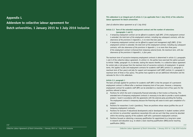## **Appendix L**

**Addendum to collective labour agreement for Dutch universities, 1 January 2015 to 1 July 2016 inclusive** **This addendum is an integral part of article 2.3 (as applicable from 1 July 2016) of the collective labour agreement for Dutch universities** 

*(text of collective labour agreement as of 1 July 2016)*

## **Article 2.3 Term of the extended employment contract and the number of extensions (paragraphs 1 and 2)**

- *1. A temporary employment contract can be offered to academic staff (WP). If this employment contract is extended, the total term of the employment contract, including any subsequent contracts, with due observance of the provisions in Appendix L, is no more than four years.*
- *2. A temporary employment contract can be offered to support and management staff (OBP). If this employment contract is extended, the total term of the employment contract, including any subsequent contracts, with due observance of the provisions in Appendix L, is no more than three years. If the employment contract is financed from temporary external funds, the maximum term, with due observance of the provisions in Appendix L, is four years.*

The maximum term of successive temporary employment contracts is determined in article 2.3, paragraphs 1 and 2 of the collective labour agreement. In article 2.3, the parties have exercised the option pursuant to Article 7:668a, paragraph 5 b, to deviate, stating the reasons therefor, in a collective labour agreement for certain jobs or job groups from the maximum term of successive contracts of employment. In general terms, this applies to jobs and employment contracts for academic staff (WP) (article 2.3, paragraph 1; maximum term of four years) and jobs for support and management staff (OBP) (article 2.3, paragraph 2; maximum term of three or four years). The parties have agreed to set out additional information and the rationale for this in this addendum.

#### **Article 2.3, paragraph 1**

The basic principle applied for positions for academic staff (WP) is that the prospect of a permanent employment contract is offered after a maximum temporary term of two years. However, a temporary employment contract for academic staff (WP) can be extended to a maximum term of four years for the positions referred to below:

- a) Positions for which the work is temporarily financed externally or that involve co-financing. This extended term of temporary employment contracts is necessary to be able to provide a sound academic product / result in accordance with the agreements with the external party providing the funding. The employment contract is temporary because the financing will cease to exist upon completion of a project;
- b) Positions for researchers 3 and 4 (postdocs). These are positions whose nature justifies the use of temporary employment contracts;
- c) Positions for lecturers if educational developments and/or developments in student numbers (which are intrinsic to universities' operations) necessitate this and are such that they cannot be absorbed within the existing capacity of the academic staff with a permanent employment contract;
- d) Positions focused on obtaining a necessary qualification for appointment to a long-term career in research and education (e.g. to obtain a basic teaching qualification (BKO)/senior teaching qualification (SKO)).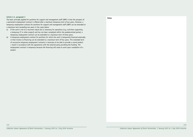## **Article 2.3, paragraph 2**

The basic principle applied for positions for support and management staff (OBP) is that the prospect of a permanent employment contract is offered after a maximum temporary term of two years. However, a temporary employment contract for positions for support and management staff (OBP) can be extended to a maximum term exceeding two years in the cases below:

- a) If the work is not of a recurrent nature but is necessary for operations (e.g. activities supporting a temporary IT or other project) and has not been completed within the predetermined period, a temporary employment contract can be extended to a maximum term of three years;
- b) A temporary employment contract for positions for which the work is temporarily financed externally or that involve co-financing can be extended to a maximum term of four years. This extended term of successive temporary employment contracts is necessary to be able to provide a sound product / result in accordance with the agreements with the external party providing the funding. The employment contract is temporary because the financing will cease to exist upon completion of a project.

 **Notes**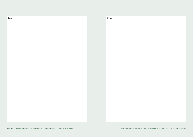**Notes** Notes **Notes** Notes **Notes** Notes **Notes** Notes **Notes and Notes Inc. In the International Inc. In the International Inc. In the International Inc. In the International Inc. In the International Inc. In the Interna**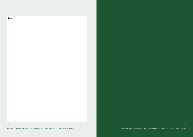

*118*